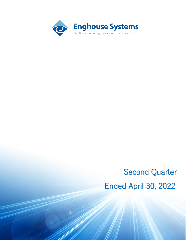

# Second Quarter Ended April 30, 2022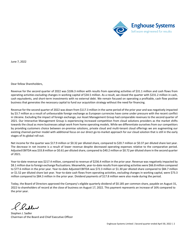

June 7, 2022

Dear fellow Shareholders,

Revenue for the second quarter of 2022 was \$106.3 million with results from operating activities of \$31.1 million and cash flows from operating activities excluding changes in working capital of \$34.5 million. As a result, we closed the quarter with \$231.2 million in cash, cash equivalents, and short-term investments with no external debt. We remain focused on operating a profitable, cash flow positive business that generates the necessary capital to fund our acquisition strategy without the need for financing.

Revenue for the second quarter of 2022 was down from \$117.3 million in the same period of the prior year and was negatively impacted by \$3.7 million as a result of unfavourable foreign exchange as European currencies have come under pressure with the recent conflict in Ukraine. Excluding the impact of foreign exchange, our Asset Management Group had comparable revenues to the second quarter of 2021. Our Interactive Management Group is experiencing increased competition from cloud solutions providers as the market shifts towards the cloud as more businesses adopt work from home operating models. While we differentiate ourselves from our competitors by providing customers choice between on-premise solutions, private cloud and multi-tenant cloud offerings we are augmenting our existing channel-partner model with additional focus on our direct go-to-market approach for our cloud solution that is still in the early stages of its global roll-out.

Net income for the quarter was \$17.9 million or \$0.32 per diluted share, compared to \$20.7 million or \$0.37 per diluted share last year. The decrease in net income is a result of lower revenue despite decreased operating expenses relative to the comparative period. Adjusted EBITDA was \$33.8 million or \$0.61 per diluted share, compared to \$40.2 million or \$0.72 per diluted share in the second quarter of 2021.

Year-to-date revenue was \$217.4 million, compared to revenue of \$236.4 million in the prior year. Revenue was negatively impacted by \$8.1 million due to foreign exchange fluctuations. Meanwhile, year-to-date resultsfrom operating activities were \$66.8 million compared to \$77.6 million in the prior year. Year-to-date Adjusted EBITDA was \$72.3 million or \$1.30 per diluted share compared to \$84.7 million or \$1.52 per diluted share last year. Year-to-date cash flows from operating activities, excluding changes in working capital, were \$73.3 million compared to \$84.3 million in the prior year. Dividend payments of \$17.8 million were also made during the period.

Today, the Board of Directors approved the Company's eligible quarterly dividend of \$0.185 per common share, payable on August 31, 2022 to shareholders of record at the close of business on August 17, 2022. This payment represents an increase of 16% compared to the prior year.

Stephen J. Sadler Chairman of the Board and Chief Executive Officer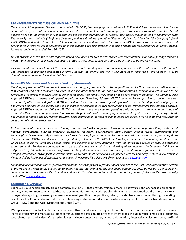## **MANAGEMENT'S DISCUSSION AND ANALYSIS**

*The following Management Discussion and Analysis ("MD&A") has been prepared as of June 7, 2022 and all information contained herein is current as of that date unless otherwise indicated. For a complete understanding of our business environment, risks, trends and uncertainties and the effect of critical accounting policies and estimates on our results, this MD&A should be read in conjunction with Enghouse Systems Limited's ("Enghouse Systems") and its subsidiaries (together "Enghouse", "we" "us" "our" or "the Company") fiscal 2021 MD&A and audited consolidated financial statements and the notes thereto. This MD&A covers the unaudited condensed consolidated interim results of operations, financial condition and cash flows of Enghouse Systems and its subsidiaries, all wholly owned, for the second quarter ended April 30, 2022.* 

*Unless otherwise noted, the results reported herein have been prepared in accordance with International Financial Reporting Standards ("IFRS") and are presented in Canadian dollars, stated in thousands, except per share amounts and as otherwise indicated.*

*This document is intended to assist the reader in better understanding operations and key financial results as of the date of this report. The unaudited Condensed Consolidated Interim Financial Statements and the MD&A have been reviewed by the Company's Audit Committee and approved by its Board of Directors.* 

## *Non-IFRS Measures and Forward-Looking Statements*

*The Company uses non-IFRS measures to assess its operating performance. Securities regulations require that companies caution readers that earnings and other measures adjusted to a basis other than IFRS do not have standardized meanings and are unlikely to be comparable to similar measures used by other companies. Accordingly, they should not be considered in isolation. The Company uses Adjusted EBITDA as a measure of operating performance. Therefore, Adjusted EBITDA may not be comparable to similar measures presented by other issuers. Adjusted EBITDA is calculated based on results from operating activities adjusted for depreciation of property, equipment and right-of-use assets, and special charges for acquisition related restructuring costs. Management uses Adjusted EBITDA, Adjusted EBITDA margin, and Adjusted EBITDA per diluted share to evaluate operating performance as it excludes amortization of acquired software and intangibles (which is an accounting allocation of the cost of software and intangible assets arising on acquisition), any impact of finance and tax related activities, asset depreciation, foreign exchange gains and losses, other income and restructuring costs primarily related to acquisitions.*

*Certain statements made or incorporated by reference in this MD&A are forward-looking and relate to, among other things, anticipated financial performance, business prospects, strategies, regulatory developments, new services, market forces, commitments and technological developments. By its nature, such forward-looking information is subject to various risks and uncertainties, including those discussed in this MD&A or in documents incorporated by reference in this MD&A, such as Enghouse Systems' Annual Information Form, which could cause the Company's actual results and experience to differ materially from the anticipated results or other expectations expressed herein. Readers are cautioned not to place undue reliance on this forward-looking information, and the Company shall have no obligation to update publicly or revise any forward-looking information, whether as a result of new information, future events or otherwise, except in accordance with applicable securities laws. This report should be viewed in conjunction with the Company's other publicly available filings, including its Annual Information Form, copies of which are filed electronically on SEDAR at www.sedar.com.* 

*For additional information with respect to certain of these risks or factors, reference should be made to the "Risks and Uncertainties" section of the MD&A and notes to the audited consolidated financial statements for the year ended October 31, 2021, as well as to the Company's continuous disclosure materials filed from time to time with Canadian securities regulatory authorities, copies of which are filed electronically on SEDAR at www.sedar.com.* 

## **Corporate Overview**

Enghouse is a Canadian publicly traded company (TSX:ENGH) that provides vertical enterprise software solutions focused on contact centers, video communications, healthcare, telecommunications networks, public safety and the transit market. The Company's twopronged strategy to grow earnings focuses on internal growth and acquisitions, which, to date, have been funded through operating cash flows. The Company has no external debt financing and is organized around two business segments: the Interactive Management Group ("IMG") and the Asset Management Group ("AMG").

IMG specializes in contact center and interaction software and services designed to facilitate remote work, enhance customer service, increase efficiency and manage customer communications across multiple types of interactions, including voice, email, social channels, web chats, text and video. Core technologies include contact center, video collaboration, interactive voice response, artificial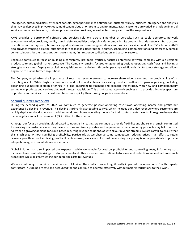intelligence, outbound dialers, attendant console, agent performance optimization, customer survey, business intelligence and analytics that may be deployed in private cloud, multi-tenant cloud or on-premise environments. IMG's customers are varied and include financial services companies, telecoms, business process service providers, as well as technology and health care providers.

AMG provides a portfolio of software and services solutions across a number of verticals, such as cable operators, network telecommunication providers, media, transit, defence, utilities and public safety companies. Its products include network infrastructure, operations support systems, business support systems and revenue generation solutions, such as video and cloud TV solutions. AMG also provides transit e-ticketing, automated fare collections, fleet routing, dispatch, scheduling, communications and emergency control center solutions for the transportation, government, first responders, distribution and security sectors.

Enghouse continues to focus on building a consistently profitable, vertically focused enterprise software company with a diversified product suite and global market presence. The Company remains focused on generating positive operating cash flows and having a strong balance sheet. Deploying capital on acquisitions and replacing it through operating cash flows is pivotal to our strategy and allows Enghouse to pursue further acquisitions.

The Company emphasizes the importance of recurring revenue streams to increase shareholder value and the predictability of its operating results. While Enghouse continues to develop and enhance its existing product portfolio to grow organically, including expanding our hosted solution offerings, it is also important to augment and expedite this strategy with new and complementary technology, products and services obtained through acquisition. This dual-faceted approach enables us to provide a broader spectrum of products and services to our customer base more quickly than through organic means alone.

## **Second quarter overview**

During the second quarter of 2022, we continued to generate positive operating cash flows, operating income and profits but experienced a decline in revenue. This decline is primarily attributable to IMG, which includes our Vidyo revenue where customers are rapidly deploying cloud solutions to address work from home operating models for their contact center agents. Foreign exchange also had a negative impact on revenue of \$3.7 million for the quarter.

Although our focus on providing cloud-based solutions is increasing, we continue to provide flexibility and choice and remain committed to servicing our customers who may have strict on-premise or private cloud requirements that competing products may fail to satisfy. As we see a growing demand for cloud-based recurring revenue solutions, as with all our revenue streams, we are careful to ensure that this is achieved without sacrificing profitability, particularly as we observe some competitors reducing prices in an effort to retain revenue growth without achieving profitability. As a result, we are also focused on ensuring our pricing is set appropriately to provide adequate margins in an inflationary environment.

Global inflation has also impacted our expenses. While we remain focused on profitability and controlling costs, inflationary cost increases have resulted in rising costs for personnel and other expenses. We continue to focus on cost reductions in overhead areas such as facilities while diligently scaling our operating costs to revenues.

We are continuing to monitor the situation in Ukraine. The conflict has not significantly impacted our operations. Our third-party contractors in Ukraine are safe and accounted for and continue to operate effectively without major interruptions to their work.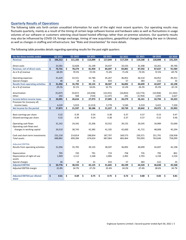# **Quarterly Results of Operations**

The following table sets forth certain unaudited information for each of the eight most recent quarters. Our operating results may fluctuate quarterly, mainly as a result of the timing of certain large software license and hardware sales as well as fluctuations in usage volumes of our software or customers selecting cloud based hosted offerings rather than on-premise solutions. Our quarterly results may also be influenced by COVID-19, foreign exchange, timing of new acquisitions, geopolitical changes (including the war in Ukraine). as well as changes in staffing and infrastructure. See "Risks and Uncertainties" for more details.

The following table provides details regarding operating results for the past eight quarters:

| For the three months ended               |                    | Q2 2022  |    | Q1 2022 |    | Q4 2021   |    | Q3 2021   |    | Q2 2021   |    | Q1 2021   | Q4 2020       |    | Q3 2020  |
|------------------------------------------|--------------------|----------|----|---------|----|-----------|----|-----------|----|-----------|----|-----------|---------------|----|----------|
| <b>Revenue</b>                           | $\mathsf{\hat{S}}$ | 106,312  | Ŝ. | 111,102 | Ŝ. | 113,099   | Ś. | 117,644   | \$ | 117,334   | Ś. | 119,100   | \$<br>120,898 | Ś. | 131,324  |
|                                          |                    |          |    |         |    |           |    |           |    |           |    |           |               |    |          |
| Direct costs                             |                    | 33,581   |    | 32,828  |    | 31,149    |    | 33,437    |    | 33,533    |    | 31,508    | 33,261        |    | 39,740   |
| <b>Revenue, net of direct costs</b>      | \$                 | 72,731   | \$ | 78,274  | \$ | 81,950    | \$ | 84,207    | \$ | 83,801    | \$ | 87,592    | \$<br>87,637  | \$ | 91,584   |
| As a % of revenue                        |                    | 68.4%    |    | 70.5%   |    | 72.5%     |    | 71.6%     |    | 71.4%     |    | 73.5%     | 72.5%         |    | 69.7%    |
|                                          |                    |          |    |         |    |           |    |           |    |           |    |           |               |    |          |
| Operating expenses                       |                    | 41,629   |    | 42,551  |    | 42,784    |    | 45,267    |    | 46,852    |    | 46,510    | 44,952        |    | 49,351   |
| Special charges                          |                    | 46       |    | 18      |    | 31        |    | 433       |    | 57        |    | 383       | (12)          |    | 35       |
| <b>Results from operating activities</b> | \$                 | 31,056   | \$ | 35,705  | \$ | 39,135    | \$ | 38,507    | \$ | 36,892    | Ś. | 40,699    | \$<br>42,697  | Ś. | 42,198   |
| As a % of revenue                        |                    | 29.2%    |    | 32.1%   |    | 34.6%     |    | 32.7%     |    | 31.4%     |    | 34.2%     | 35.3%         |    | 32.1%    |
|                                          |                    |          |    |         |    |           |    |           |    |           |    |           |               |    |          |
| Amortization                             |                    | (9, 207) |    | (9,657) |    | (10, 438) |    | (10, 355) |    | (10, 854) |    | (10, 774) | (10, 958)     |    | (11,502) |
| Other                                    |                    | 242      |    | 568     |    | (724)     |    | (1, 147)  |    | 241       |    | (3,764)   | 1,055         |    | 2,627    |
| Income before income taxes               | \$                 | 22,091   | Ś. | 26,616  | \$ | 27,973    | \$ | 27,005    | \$ | 26,279    | \$ | 26,161    | \$<br>32,794  | \$ | 33,323   |
| Provision for (recovery of)              |                    |          |    |         |    |           |    |           |    |           |    |           |               |    |          |
| income taxes                             |                    | 4,220    |    | 5,019   |    | (2, 213)  |    | 5,778     |    | 5,540     |    | 5,519     | 3,422         |    | 7,330    |
| Net Income for the period                | \$                 | 17,871   | \$ | 21,597  | \$ | 30,186    | \$ | 21,227    | \$ | 20,739    | \$ | 20,642    | \$<br>29,372  | \$ | 25,993   |
|                                          |                    |          |    |         |    |           |    |           |    |           |    |           |               |    |          |
| Basic earnings per share                 |                    | 0.32     |    | 0.39    |    | 0.54      |    | 0.38      |    | 0.37      |    | 0.37      | 0.53          |    | 0.47     |
| Diluted earnings per share               |                    | 0.32     |    | 0.39    |    | 0.54      |    | 0.38      |    | 0.37      |    | 0.37      | 0.52          |    | 0.46     |
|                                          |                    |          |    |         |    |           |    |           |    |           |    |           |               |    |          |
| Operating cash flows                     |                    | 31,142   |    | 24,342  |    | 25,206    |    | 33,552    |    | 39,155    |    | 20,545    | 34,989        |    | 55,690   |
| Operating cash flows excl.               |                    |          |    |         |    |           |    |           |    |           |    |           |               |    |          |
| changes in working capital               |                    | 34,510   |    | 38,743  |    | 42,385    |    | 41,105    |    | 42,600    |    | 41,715    | 48,008        |    | 45,294   |
|                                          |                    |          |    |         |    |           |    |           |    |           |    |           |               |    |          |
| Cash and short-term investments          |                    | 231,218  |    | 214,814 |    | 198,834   |    | 187,797   |    | 169,573   |    | 230,371   | 251,791       |    | 228,938  |
| <b>Total assets</b>                      |                    | 688,882  |    | 699,284 |    | 674,624   |    | 687,064   |    | 683,464   |    | 793,093   | 763,646       |    | 758,099  |
|                                          |                    |          |    |         |    |           |    |           |    |           |    |           |               |    |          |
| <b>Adjusted EBITDA:</b>                  |                    |          |    |         |    |           |    |           |    |           |    |           |               |    |          |
| Results from operating activities        |                    | 31,056   |    | 35,705  |    | 39,135    |    | 38,507    |    | 36,892    |    | 40,699    | 42,697        |    | 42,198   |
|                                          |                    |          |    |         |    |           |    |           |    |           |    |           |               |    |          |
| Depreciation                             |                    | 705      |    | 720     |    | 791       |    | 719       |    | 758       |    | 735       | 795           |    | 801      |
| Depreciation of right-of-use             |                    | 1,969    |    | 2,112   |    | 2,168     |    | 2,006     |    | 2,492     |    | 2,703     | 3,158         |    | 2,534    |
| assets                                   |                    |          |    |         |    |           |    |           |    |           |    |           |               |    |          |
| Special charges                          | \$                 | 46       |    | 18      | Ŝ. | 31        |    | 433       |    | 57        |    | 383       | (12)          |    | 35       |
| <b>Adjusted EBITDA</b>                   |                    | 33,776   | Ś. | 38,555  |    | 42,125    | \$ | 41,665    | Ś. | 40,199    | Ś. | 44,520    | \$<br>46,638  | Ś. | 45,568   |
| Adjusted EBITDA margin                   |                    | 31.8%    |    | 34.7%   |    | 37.2%     |    | 35.4%     |    | 34.3%     |    | 37.4%     | 38.6%         |    | 34.7%    |
|                                          |                    |          |    |         |    |           |    |           |    |           |    |           |               |    |          |
| <b>Adjusted EBITDA per diluted</b>       | \$                 | 0.61     | \$ | 0.69    | \$ | 0.75      | \$ | 0.75      | \$ | 0.72      | Ś. | 0.80      | \$<br>0.83    | \$ | 0.81     |
| share                                    |                    |          |    |         |    |           |    |           |    |           |    |           |               |    |          |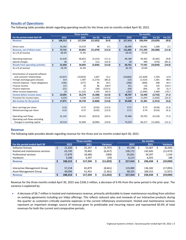# **Results of Operations**

The following table provides details regarding operating results for the three and six months ended April 30, 2022.

|                                          |               |    | <b>Three months</b> |           |         |    |           |     | <b>Six months</b> |           |         |
|------------------------------------------|---------------|----|---------------------|-----------|---------|----|-----------|-----|-------------------|-----------|---------|
| For the period ended April 30            | 2022          |    | 2021                | Var (\$)  | Var (%) |    | 2022      |     | 2021              | Var (\$)  | Var (%) |
| <b>Revenue</b>                           | \$<br>106,312 | \$ | 117,334             | (11, 022) | (9.4)   | \$ | 217,414   | Ŝ.  | 236,434           | (19,020)  | (8.0)   |
|                                          |               |    |                     |           |         |    |           |     |                   |           |         |
| Direct costs                             | 33,581        |    | 33,533              | 48        | 0.1     |    | 66,409    |     | 65,041            | 1,368     | 2.1     |
| Revenue, net of direct costs             | \$<br>72,731  | \$ | 83,801              | (11,070)  | (13.2)  | \$ | 151,005   |     | 171,393           | (20, 388) | (11.9)  |
| As a % of revenue                        | 68.4%         |    | 71.4%               |           |         |    | 69.5%     |     | 72.5%             |           |         |
|                                          |               |    |                     |           |         |    |           |     |                   |           |         |
| Operating expenses                       | 41,629        |    | 46,852              | (5, 223)  | (11.1)  |    | 84,180    |     | 93,362            | (9, 182)  | (9.8)   |
| Special charges                          | 46            |    | 57                  | (11)      | (19.3)  |    | 64        |     | 440               | (376)     | (85.5)  |
| <b>Results from operating activities</b> | \$<br>31,056  | Ś  | 36,892              | (5,836)   | (15.8)  | \$ | 66,761    | Ŝ.  | 77,591            | (10, 830) | (14.0)  |
| As a % of revenue                        | 29.2%         |    | 31.4%               |           |         |    | 30.7%     |     | 32.8%             |           |         |
|                                          |               |    |                     |           |         |    |           |     |                   |           |         |
| Amortization of acquired software        |               |    |                     |           |         |    |           |     |                   |           |         |
| and customer relationships               | (9, 207)      |    | (10, 854)           | 1,647     | 15.2    |    | (18, 864) |     | (21, 628)         | 2.764     | 12.8    |
| Foreign exchange gains (losses)          | 314           |    | 1,587               | (1, 273)  | (80.2)  |    | (22)      |     | (1,523)           | 1,501     | 98.6    |
| Interest expense - lease obligations     | (196)         |    | (277)               | 81        | 29.2    |    | (398)     |     | (606)             | 208       | 34.3    |
| Finance income                           | 122           |    | 36                  | 86        | 238.9   |    | 251       |     | 116               | 135       | 116.4   |
| Finance expenses                         | (21)          |    | 17                  | (38)      | (223.5) |    | (44)      |     | (64)              | 20        | 31.3    |
| Other income (expenses)                  | 23            |    | (1, 122)            | 1,145     | 102.0   |    | 1,023     |     | (1, 446)          | 2,469     | 170.7   |
| Income before income taxes               | \$<br>22,091  | \$ | 26,279              | (4, 188)  | (15.9)  | \$ | 48,707    | \$  | 52,440            | (3,733)   | (7.1)   |
| Provision for income taxes               | 4,220         |    | 5,540               | (1, 320)  | (23.8)  |    | 9,239     |     | 11,059            | (1,820)   | (16.5)  |
| Net Income for the period                | \$<br>17,871  | \$ | 20,739              | (2,868)   | (13.8)  | \$ | 39,468    | \$. | 41,381            | (1, 913)  | (4.6)   |
|                                          |               |    |                     |           |         |    |           |     |                   |           |         |
| Basic earnings per share                 | 0.32          |    | 0.37                | (0.05)    | (13.5)  |    | 0.71      |     | 0.75              | (0.04)    | (5.3)   |
| Diluted earnings per share               | 0.32          |    | 0.37                | (0.05)    | (13.5)  |    | 0.71      |     | 0.74              | (0.03)    | (4.1)   |
|                                          |               |    |                     |           |         |    |           |     |                   |           |         |
| Operating cash flows                     | 31,142        |    | 39,155              | (8,013)   | (20.5)  |    | 55,484    |     | 59,702            | (4, 218)  | (7.1)   |
| Operating cash flows excluding           |               |    |                     |           |         |    |           |     |                   |           |         |
| changes in working capital               | 34,510        |    | 42,600              | (8,090)   | (19.0)  |    | 73,253    |     | 84,317            | (11,064)  | (13.1)  |

# **Revenue**

The following table provides details regarding revenue for the three and six months ended April 30, 2022.

|                                 |              | Three months |                 |    |         | <b>Six months</b> |         |                 |
|---------------------------------|--------------|--------------|-----------------|----|---------|-------------------|---------|-----------------|
| For the period ended April 30   | 2022         | 2021         | <b>Variance</b> |    | 2022    |                   | 2021    | <b>Variance</b> |
| Software licenses               | \$<br>21,420 | 25,167       | (3,747)         | \$ | 45,198  | S                 | 53,467  | (8, 269)        |
| Hosted and maintenance services | 63,745       | 70,402       | (6,657)         |    | 130,172 |                   | 142,645 | (12,473)        |
| Professional services           | 17,879       | 18,468       | (589)           |    | 35,831  |                   | 34,297  | 1,534           |
| Hardware                        | 3,268        | 3.297        | (29)            |    | 6,213   |                   | 6.025   | 188             |
| <b>Revenue</b>                  | 106,312      | 117,334      | (11,022)        | \$ | 217,414 |                   | 236,434 | (19,020)        |
|                                 |              |              |                 |    |         |                   |         |                 |
| Interactive Management Group    | 57,218       | 65,879       | (8,661)         |    | 119,089 |                   | 136,182 | (17,093)        |
| Asset Management Group          | 49.094       | 51,455       | (2,361)         |    | 98,325  |                   | 100,252 | (1,927)         |
| <b>Revenue</b>                  | 106,312      | 117,334      | (11,022)        | Ś  | 217,414 |                   | 236,434 | (19,020)        |

Revenue for the three months ended April 30, 2022 was \$106.3 million, a decrease of 9.4% from the same period in the prior year. The variance is explained by:

• A decrease of \$6.7 million in hosted and maintenance revenue, primarily attributable to lower maintenance resulting from attrition on existing agreements including our Vidyo offerings. This reflects reduced sales and renewals of our Interactive products during the quarter as customers critically examine expenses in the current inflationary environment. Hosted and maintenance services represent an important strategic source of revenue given its predictable and recurring nature and represented 60.0% of total revenues for both the current and comparative periods.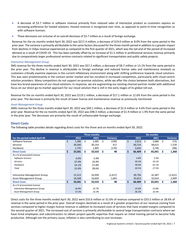- A decrease of \$3.7 million in software revenue primarily from reduced sales of Interactive product as customers express an increasing preference for hosted solutions. Hosted revenue is recognized over time, as opposed to point-in-time recognition as with software licenses.
- These decreases are inclusive of an overall decrease of \$3.7 million as a result of foreign exchange.

Revenue for the six months ended April 30, 2022 was \$217.4 million, a decrease of \$19.0 million or 8.0% from the same period in the prior year. The variance is primarily attributable to the same factors discussed for the three-month period in addition to a greater impact from declines in Vidyo revenue experienced as compared to the first quarter of 2021, which was the tail-end of the period of increased demand as a result of COVID-19. This has been partially offset by an increase of \$1.5 million in professional services revenue primarily due to comparatively larger professional services contracts related to significant transportation and public safety projects.

## *Interactive Management Group*

IMG revenue for the three months ended April 30, 2022 was \$57.2 million, a decrease of \$8.7 million or 13.1% from the same period in the prior year. The decline in revenue is attributable to foreign exchange and reduced license sales and maintenance renewals as customers critically examine expenses in the current inflationary environment along with shifting preference towards cloud solutions. This was seen predominantly in the contact center market and has resulted in increased competition, particularly with cloud-centric solution providers. Many competitors do not support on-premise solutions, while we offer the choice between both alternatives, but have less brand awareness of our cloud solutions. In response, we are augmenting our existing channel-partner model with additional focus on our direct go-to-market approach for our cloud solution that is still in the early stages of its global roll-out.

Revenue for the six months ended April 30, 2022 was \$119.1 million, a decrease of \$17.1 million or 12.6% from the same period in the prior year. The decrease is primarily the result of lower license and maintenance revenue as previously mentioned.

## *Asset Management Group*

AMG revenue for the three months ended April 30, 2022 was \$49.1 million, a decrease of \$2.4 million or 4.6% from same period in the prior year. Revenue for the six months ended April 30, 2022 was \$98.3 million, a decrease of \$1.9 million or 1.9% from the same period in the prior year. The decreases are primarily the result of unfavourable foreign exchange.

# **Direct Costs**

The following table provides details regarding direct costs for the three and six months ended April 30, 2022.

|                               |     |        |    | Three months |    |                 |    |        |    | <b>Six months</b> |    |                 |
|-------------------------------|-----|--------|----|--------------|----|-----------------|----|--------|----|-------------------|----|-----------------|
| For the period ended April 30 |     | 2022   |    | 2021         |    | <b>Variance</b> |    | 2022   |    | 2021              |    | <b>Variance</b> |
| Software licenses             | \$  | 1,286  | \$ | 1,485        | Ś. | (199)           | \$ | 2,613  | \$ | 2,686             | Ŝ. | (73)            |
| <b>Services</b>               |     | 30,560 |    | 30,143       |    | 417             |    | 60,154 |    | 58,615            |    | 1,539           |
| Hardware                      |     | 1,735  |    | 1,905        |    | (170)           |    | 3,642  |    | 3,740             |    | (98)            |
| <b>Direct Costs</b>           | \$  | 33,581 |    | 33,533       | \$ | 48              | \$ | 66,409 | Š. | 65,041            | Ŝ  | 1,368           |
| As a % of associated revenue  |     |        |    |              |    |                 |    |        |    |                   |    |                 |
| Software licenses             |     | 6.0%   |    | 5.9%         |    |                 |    | 5.8%   |    | 5.0%              |    |                 |
| <b>Services</b>               |     | 37.4%  |    | 33.9%        |    |                 |    | 36.2%  |    | 33.1%             |    |                 |
| Hardware                      |     | 53.1%  |    | 57.8%        |    |                 |    | 58.6%  |    | 62.1%             |    |                 |
| Total                         |     | 31.6%  |    | 28.6%        |    |                 |    | 30.5%  |    | 27.5%             |    |                 |
|                               |     |        |    |              |    |                 |    |        |    |                   |    |                 |
| Interactive Management Group  |     | 15,313 |    | 16,930       |    | (1,617)         |    | 30,756 |    | 32,387            |    | (1,631)         |
| <b>Asset Management Group</b> |     | 18,268 |    | 16,603       |    | 1,665           |    | 35,653 |    | 32,654            |    | 2,999           |
| <b>Direct Costs</b>           | \$. | 33,581 | S. | 33,533       | S  | 48              | \$ | 66,409 | S. | 65,041            | Š. | 1,368           |
| As a % of associated revenue  |     |        |    |              |    |                 |    |        |    |                   |    |                 |
| Interactive Management Group  |     | 26.8%  |    | 25.7%        |    |                 |    | 25.8%  |    | 23.8%             |    |                 |
| Asset Management Group        |     | 37.2%  |    | 32.3%        |    |                 |    | 36.3%  |    | 32.6%             |    |                 |

Direct costs for the three months ended April 30, 2022 were \$33.6 million or 31.6% of revenue compared to \$33.5 million or 28.6% of revenue in the same period in the prior year. Overall margins declined as a result of a greater proportion of our revenue coming from services compared to higher margin license revenue in addition to increased costs of services that have eroded margins compared to the second quarter of 2021. The increased cost of services is primarily attributable to several large transportation contracts where we have hired employees and subcontractors to obtain project-specific expertise that require an initial training period to become fully productive. Although not the primary cause, inflation is also contributing to cost increases.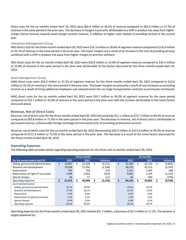Direct costs for the six months ended April 30, 2022 were \$66.4 million or 30.5% of revenue compared to \$65.0 million or 27.5% of revenue in the same period in the prior year. The decrease in margins is primarily attributable to a shift in product mix away from highermargin license revenue towards lower-margin services revenue, in addition to higher costs related to providing services in the current year.

## *Interactive Management Group*

IMG direct costs for the three months ended April 30, 2022 were \$15.3 million or 26.8% of segment revenue compared to \$16.9 million or 25.7% of revenue in the same period in the prior year. The lower margins are a result of an increase in the cost of providing services combined with a shift in product mix away from higher-margin on-premise software.

IMG direct costs for the six months ended April 30, 2022 were \$30.8 million or 25.8% of segment revenue compared to \$32.4 million or 23.8% of revenue in the same period in the prior year attributable to the factors discussed for the three months ended April 30, 2022.

## *Asset Management Group*

AMG direct costs were \$18.3 million or 37.2% of segment revenue for the three months ended April 30, 2022 compared to \$16.6 million or 32.3% of revenue in the same period in the prior year. The lower margins are primarily a result of cost increases on providing services as a result of hiring additional employees and subcontractors for our large transportation contracts as previously mentioned.

AMG direct costs for the six months ended April 30, 2022 were \$35.7 million or 36.3% of segment revenue for the same period compared to \$32.7 million or 32.6% of revenue in the same period in the prior year with the increase attributable to the same factors discussed above.

# **Revenue, Net of Direct Costs**

Revenue, net of direct costs for the three months ended April 30, 2022 decreased by \$11.1 million to \$72.7 million or 68.4% of revenue compared to \$83.8 million or 71.4% in the same period in the prior year. The decrease in revenue, net of direct costs is attributable to decreased revenue, unfavourable foreign exchange and increased costs of providing professional services.

Revenue, net of direct costs for the six months ended April 30, 2022 decreased by \$20.4 million to \$151.0 million or 69.5% of revenue compared to \$171.4 million or 72.5% in the same period in the prior year. The decrease is a result of the same factors discussed for the three months ended April 30, 2022.

# **Operating Expenses**

The following table provides details regarding operating expenses for the three and six months ended April 30, 2022.

|                                     |    |        |     | Three months |     |                 |    |        |    |        |    |                 |
|-------------------------------------|----|--------|-----|--------------|-----|-----------------|----|--------|----|--------|----|-----------------|
| For the period ended April 30       |    | 2022   |     | 2021         |     | <b>Variance</b> |    | 2022   |    | 2021   |    | <b>Variance</b> |
| Selling, general and administrative | Ś. | 19,897 | \$. | 22,208       | \$. | (2,311)         | \$ | 42,304 | \$ | 45,159 | \$ | (2,855)         |
| Research and development            |    | 19,058 |     | 21,394       |     | (2, 336)        |    | 36,370 |    | 41.515 |    | (5, 145)        |
| Depreciation                        |    | 705    |     | 758          |     | (53)            |    | 1,425  |    | 1,493  |    | (68)            |
| Depreciation of right-of-use assets |    | 1,969  |     | 2,492        |     | (523)           |    | 4,081  |    | 5,195  |    | (1, 114)        |
| Special charges                     |    | 46     |     | 57           |     | (11)            |    | 64     |    | 440    |    | (376)           |
| <b>Operating expenses</b>           | S  | 41,675 | Ś   | 46,909       |     | (5, 234)        | \$ | 84.244 | s  | 93,802 |    | (9,558)         |
| As a % of total revenue             |    |        |     |              |     |                 |    |        |    |        |    |                 |
| Selling, general and administrative |    | 18.7%  |     | 18.9%        |     |                 |    | 19.5%  |    | 19.1%  |    |                 |
| Research and development            |    | 17.9%  |     | 18.2%        |     |                 |    | 16.7%  |    | 17.6%  |    |                 |
| Depreciation                        |    | 0.7%   |     | 0.6%         |     |                 |    | 0.7%   |    | 0.6%   |    |                 |
| Depreciation of right-of-use assets |    | 1.9%   |     | 2.1%         |     |                 |    | 1.9%   |    | 2.2%   |    |                 |
| Special charges                     |    | 0.0%   |     | 0.0%         |     |                 |    | 0.0%   |    | 0.2%   |    |                 |
| Operating expenses                  |    | 39.2%  |     | 40.0%        |     |                 |    | 38.7%  |    | 39.7%  |    |                 |

Operating expenses for the three months ended April 30, 2022 totaled \$41.7 million, a decrease of \$5.2 million or 11.2%. The variance is largely explained by: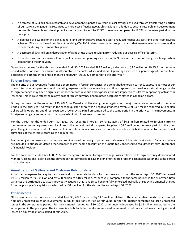- A decrease of \$2.3 million in research and development expense as a result of cost savings achieved through transferring a portion of our software-engineering resources to more cost-effective geographic regions in addition to several research and development tax credits. Research and development expense is equivalent to 17.9% of revenue compared to 18.2% in the same period in the prior year.
- A decrease of \$2.3 million in selling, general and administrative costs related to reduced headcount costs and other cost savings achieved. This was achieved despite not receiving COVID-19 related government support grants that were recognized as a reduction to expense during the comparative period.
- A decrease of \$0.5 million in depreciation of right-of-use assets resulting from reducing our physical office footprint.
- These decreases are inclusive of an overall decrease in operating expenses of \$2.9 million as a result of foreign exchange, when compared to the prior year.

Operating expenses for the six months ended April 30, 2022 totaled \$84.2 million, a decrease of \$9.6 million or 10.2% from the same period in the prior year. The variance is attributable to the factors discussed above. Operating expenses as a percentage of revenue have decreased in both the three and six months ended April 30, 2022 compared to the prior year.

## **Foreign Exchange**

The majority of our revenue is from sales denominated in foreign currencies. We do not hedge foreign currency exposure as most of our major international operations fund operating expenses with local operating cash flow surpluses that provide a natural hedge. While foreign exchange may have a significant impact on both revenue and expenses, the net impact to results from operating activities is lessened. This will also affect the relative cost of foreign currency denominated acquisitions stated in Canadian dollars.

During the three months ended April 30, 2022, the Canadian dollar strengthened against most major currencies compared to the same period in the prior year. As result, in the second quarter, there was a negative impact to revenue of \$3.7 million reported in Canadian dollars while operating and direct costs were lower by \$2.9 million compared to the same period in the prior year. The movements in foreign exchange rates were particularly prevalent with European currencies.

For the three months ended April 30, 2022, we recognized foreign exchange gains of \$0.3 million related to foreign currency denominated monetary assets and liabilities in the current period compared to gains of \$1.6 million in the same period in the prior year. The gains were a result of movements in non-functional currencies on monetary assets and liabilities relative to the functional currencies of the entities recording the gain or loss.

Translation gains or losses incurred upon consolidation of our foreign operations' statements of financial position into Canadian dollars are included in our accumulated other comprehensive income account on the unaudited Condensed Consolidated Interim Statements of Financial Position.

For the six months ended April 30, 2022, we recognized nominal foreign exchange losses related to foreign currency denominated monetary assets and liabilities in the current period, compared to \$1.5 million of unrealized foreign exchange lossesin the same period in the prior year.

# **Amortization of Software and Customer Relationships**

Amortization expense for acquired software and customer relationships for the three and six months ended April 30, 2022 decreased by \$1.6 million to \$9.2 million and by \$2.8 million to \$18.9 million, respectively, compared to the same periods in the prior year. Both variances are attributable to assets previously acquired that have since become fully amortized, partially offset by incremental charges from the prior year's acquisitions, which added \$1.4 million for the six months ended April 30, 2022.

# **Other income**

Other income for the three months ended April 30, 2022 increased by \$1.1 million relative to the comparative quarter as a result of nominal unrealized gains on investments in equity positions carried at fair value during the quarter compared to large unrealized losses in the comparative period. For the six months ended April 30, 2022, other income increased by \$2.5 million compared to the same period in the prior year. The increase is attributable to the aforementioned movement in net unrealized investment gains and losses on equity positions carried at fair value.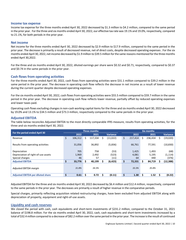## **Income tax expense**

Income tax expense for the three months ended April 30, 2022 decreased by \$1.3 million to \$4.2 million, compared to the same period in the prior year. For the three and six months ended April 30, 2022, our effective tax rate was 19.1% and 19.0%, respectively, compared to 21.1%, for both periods in the prior year.

## **Net income**

Net income for the three months ended April 30, 2022 decreased by \$2.9 million to \$17.9 million, compared to the same period in the prior year. The decrease is primarily a result of decreased revenue, net of direct costs, despite decreased operating expenses . For the six months ended April 30, 2022, net income decreased by \$1.9 million to \$39.5 million for the same reasons mentioned for the three months ended April 30,2022.

For the three and six months ended April 30, 2022, diluted earnings per share were \$0.32 and \$0.71, respectively, compared to \$0.37 and \$0.74 in the same periods in the prior year.

## **Cash flows from operating activities**

For the three months ended April 30, 2022, cash flows from operating activities were \$31.1 million compared to \$39.2 million in the same period in the prior year. The decrease in operating cash flow reflects the decrease in net income as a result of lower revenue during the current quarter despite decreased operating expenses.

For the six months ended April 30, 2022, cash flows from operating activities were \$55.5 million compared to \$59.7 million in the same period in the prior year. The decrease in operating cash flow reflects lower revenue, partially offset by reduced operating expenses and lower taxes paid.

Operating cash flows excluding changes in non-cash working capital items for the three and six months ended April 30, 2022 decreased by 19.0% and 13.1% to \$34.5 million and \$73.3 million, respectively compared to the same periods in the prior year.

## **Adjusted EBITDA**

The table below reconciles Adjusted EBITDA to the most directly comparable IFRS measure, results from operating activities, for the three and six months ended April 30, 2022.

| For the period ended April 30            |    |         |    | Three months |   |                 |               |    | <b>Six months</b> |                 |
|------------------------------------------|----|---------|----|--------------|---|-----------------|---------------|----|-------------------|-----------------|
|                                          |    | 2022    |    | 2021         |   | <b>Variance</b> | 2022          |    | 2021              | <b>Variance</b> |
| Revenue                                  | \$ | 106,312 | S. | 117,334      | S | (11,022)        | \$<br>217,414 | S. | 236,434           | (19,020)        |
| Results from operating activities        |    | 31,056  |    | 36,892       |   | (5,836)         | 66,761        |    | 77,591            | (10,830)        |
| Depreciation                             |    | 705     |    | 758          |   | (53)            | 1,425         |    | 1,493             | (68)            |
| Depreciation of right-of-use assets      |    | 1,969   |    | 2,492        |   | (523)           | 4,081         |    | 5,195             | (1, 114)        |
| Special charges                          |    | 46      |    | 57           |   | (11)            | 64            |    | 440               | (376)           |
| <b>Adiusted EBITDA</b>                   | \$ | 33,776  |    | 40,199       |   | (6, 423)        | \$<br>72,331  |    | 84,719            | (12,388)        |
| Adjusted EBITDA margin                   |    | 31.8%   |    | 34.3%        |   |                 | 33.3%         |    | 35.8%             |                 |
| <b>Adjusted EBITDA per diluted share</b> | Ś. | 0.61    |    | 0.72         |   | (0.11)          | \$<br>1.30    |    | 1.52              | (0.22)          |

Adjusted EBITDA for the three and six months ended April 30, 2022 decreased by \$6.4 million and \$12.4 million, respectively, compared to the same periods in the prior year. The decreases are primarily a result of higher revenue in the comparative periods.

Special charges, primarily reflecting acquisition related restructuring charges, have been excluded from adjusted EBITDA along with depreciation of property, equipment and right-of-use assets.

## **Liquidity and cash reserves**

We closed the period with cash, cash equivalents and short-term investments of \$231.2 million, compared to the October 31, 2021 balance of \$198.8 million. For the six months ended April 30, 2022, cash, cash equivalents and short-term investments increased by a total of \$32.4million compared to a decrease of \$82.2 million over the same period in the prior year. The increase is the result of continued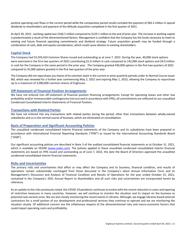positive operating cash flows in the current period while the comparative period results included the payment of \$83.2 million in special dividends to shareholders and payment of the Altitude acquisition completed in the first quarter of 2021.

At April 30, 2022 , working capital was \$166.5 million compared to \$129.1 million at the end of prior year. The increase in working capital is predominately a result of the aforementioned factors. Management is confident that the Company has the funds necessary to meet its existing and future financial operating commitments and dividend strategy. Future acquisition growth may be funded through a combination of cash, debt and equity consideration, which could cause dilution to existing shareholders.

## **Capital Stock**

The Company had 55,593,424 Common Shares issued and outstanding as at June 7, 2022. During the year, 40,000 stock options were exercised in the first two quarters of 2022 contributing \$1.0 million in cash compared to 142,000 stock options and \$4.0 million in cash for the Company in the same period in the prior year. The Company granted 430,000 options in the first two quarters of 2022 compared to 35,000 options granted in the first two quarters of the prior year.

The Company did not repurchase any shares of its common stock in the current or prior quarterly periods under its Normal Course Issuer Bid, which was renewed for a further year commencing May 2, 2022 and expiring May 1, 2023, allowing the Company to repurchase up to a maximum of 3,000,000 common shares of Enghouse.

## **Off-Statement of Financial Position Arrangements**

We have not entered into off-statement of financial position financing arrangements. Except for operating leases and other low probability and/or immeasurable contingencies (not accrued in accordance with IFRS), all commitments are reflected on our unaudited Condensed Consolidated Interim Statements of Financial Position.

## **Transactions with Related Parties**

We have not entered into any transactions with related parties during the period, other than transactions between wholly-owned subsidiaries and us in the normal course of business, which are eliminated on consolidation.

## **Basis of Preparation and Significant Accounting Policies**

The unaudited condensed consolidated interim financial statements of the Company and its subsidiaries have been prepared in accordance with International Financial Reporting Standards ("IFRS") as issued by the International Accounting Standards Board ("IASB").

Our significant accounting policies are described in Note 3 of the audited consolidated financial statements as at October 31, 2021, which is available on SEDAR (*www.sedar.com*). The policies applied in these unaudited condensed consolidated interim financial statements are based on IFRS issued and outstanding as of June 7, 2022, the date the Board of Directors approved the unaudited condensed consolidated interim financial statements.

## **Risks and Uncertainties**

The primary risks and uncertainties that affect or may affect the Company and its business, financial condition, and results of operations remain substantially unchanged from those discussed in the Company's latest Annual Information Form and its Management's Discussion and Analysis of Financial Condition and Results of Operations for the year ended October 31, 2021, contained in the Company's 2021 Annual Report to Shareholders and all such risks and uncertainties are incorporated herein by reference.

As an update to the risks previously noted, the COVID-19 pandemic continues to evolve with the recent reduction in cases and tapering of restrictive measures in many countries. However, we will continue to monitor the situation and its impact on the business as potential new variants arise. We are also closely monitoring the recent events in Ukraine. Although, we engage Ukraine-based external contractors for a small portion of our development and professional services they continue to operate and we are monitoring the situation closely. Of additional concern are the inflationary impacts of the aforementioned risks and macro-economic factors that could impact operating costs and profitability.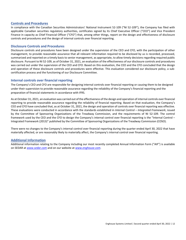## **Controls and Procedures**

In compliance with the Canadian Securities Administrators' National Instrument 52-109 ("NI 52-109"), the Company has filed with applicable Canadian securities regulatory authorities, certificates signed by its Chief Executive Officer ("CEO") and Vice President Finance in capacity as Chief Financial Officer ("CFO") that, among other things, report on the design and effectiveness of disclosure controls and procedures and the design of internal controls over financial reporting.

## **Disclosure Controls and Procedures**

Disclosure controls and procedures have been designed under the supervision of the CEO and CFO, with the participation of other management, to provide reasonable assurance that all relevant information required to be disclosed by us is recorded, processed, summarized and reported on a timely basis to senior management, as appropriate, to allow timely decisions regarding required public disclosure. Pursuant to NI 52-109, as of October 31, 2021, an evaluation of the effectiveness of our disclosure controls and procedures was carried out under the supervision of the CEO and CFO. Based on this evaluation, the CEO and the CFO concluded that the design and operation of these disclosure controls and procedures were effective. This evaluation considered our disclosure policy, a subcertification process and the functioning of our Disclosure Committee.

## **Internal controls over financial reporting**

The Company's CEO and CFO are responsible for designing internal controls over financial reporting or causing them to be designed under their supervision to provide reasonable assurance regarding the reliability of the Company's financial reporting and the preparation of financial statements in accordance with IFRS.

As at October 31, 2021, an evaluation was carried out of the effectiveness of the design and operation of internal controls over financial reporting to provide reasonable assurance regarding the reliability of financial reporting. Based on that evaluation, the Company's CEO and CFO have concluded that, as at October 31, 2021, the design and operation of controls over financial reporting was effective. These evaluations were conducted in accordance with the standards established in *Internal Control – Integrated Framework*, issued by the Committee of Sponsoring Organizations of the Treadway Commission, and the requirements of NI 52-109. The control framework used by the CEO and the CFO to design the Company's internal control over financial reporting is the "Internal Control – Integrated Framework (2013)" published by the Committee of Sponsoring Organizations of the Treadway Commission (COSO).

There were no changes to the Company's internal control over financial reporting during the quarter ended April 30, 2022 that have materially affected, or are reasonably likely to materially affect, the Company's internal control over financial reporting.

## **Additional Information**

Additional information relating to the Company including our most recently completed Annual Information Form ("AIF") is available on SEDAR at *www.sedar.com* and on our website at *www.enghouse.com*.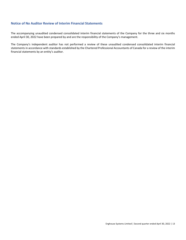# **Notice of No Auditor Review of Interim Financial Statements**

The accompanying unaudited condensed consolidated interim financial statements of the Company for the three and six months ended April 30, 2022 have been prepared by and are the responsibility of the Company's management.

The Company's independent auditor has not performed a review of these unaudited condensed consolidated interim financial statements in accordance with standards established by the Chartered Professional Accountants of Canada for a review of the interim financial statements by an entity's auditor.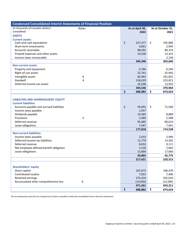| <b>Condensed Consolidated Interim Statements of Financial Position</b>     |              |                 |                   |
|----------------------------------------------------------------------------|--------------|-----------------|-------------------|
| (in thousands of Canadian dollars)                                         | <b>Notes</b> | As at April 30, | As at October 31, |
| (unaudited)                                                                |              | 2022            | 2021              |
| <b>ASSETS</b>                                                              |              |                 |                   |
| <b>Current assets:</b>                                                     |              |                 |                   |
| Cash and cash equivalents                                                  |              | \$<br>227,377   | \$<br>195,890     |
| Short-term investments                                                     |              | 3,841           | 2,944             |
| Accounts receivable                                                        |              | 98,592          | 89,374            |
| Prepaid expenses and other assets                                          |              | 14,536          | 13,322            |
| Income taxes recoverable                                                   |              |                 | 2,130             |
|                                                                            |              | 344,346         | 303,660           |
| <b>Non-current assets:</b>                                                 |              |                 |                   |
| Property and equipment                                                     |              | 4,766           | 6,246             |
| Right-of-use assets                                                        |              | 22,741          | 25,943            |
| Intangible assets                                                          | 4            | 82,462          | 101,822           |
| Goodwill                                                                   | 4            | 218,019         | 223,021           |
| Deferred income tax assets                                                 |              | 16,548          | 13,932            |
|                                                                            |              | 344,536         | 370,964           |
|                                                                            |              | \$<br>688,882   | \$<br>674,624     |
|                                                                            |              |                 |                   |
| <b>LIABILITIES AND SHAREHOLDERS' EQUITY</b><br><b>Current liabilities:</b> |              |                 |                   |
| Accounts payable and accrued liabilities                                   |              | \$<br>59,055    | \$<br>71,506      |
| Income taxes payable                                                       |              | 1,957           |                   |
| Dividends payable                                                          |              | 10,285          | 8,889             |
| Provisions                                                                 | 5            | 3,389           | 5,588             |
| Deferred revenue                                                           |              | 95,685          | 80,614            |
| Lease obligations                                                          |              | 7,447           | 7,941             |
|                                                                            |              | 177,818         | 174,538           |
| <b>Non-current liabilities:</b>                                            |              |                 |                   |
| Income taxes payable                                                       |              | 2,414           | 2,949             |
| Deferred income tax liabilities                                            |              | 11,770          | 13,392            |
| Deferred revenue                                                           |              | 8,032           | 9,111             |
| Net employee defined benefit obligation                                    |              | 2,518           | 2,663             |
| Lease obligations                                                          |              | 15,069          | 17,660            |
|                                                                            |              | 39,803          | 45,775            |
|                                                                            |              | 217,621         | 220,313           |
|                                                                            |              |                 |                   |
| <b>Shareholders' equity</b>                                                |              |                 |                   |
| Share capital                                                              |              | 107,672         | 106,470           |
| Contributed surplus                                                        |              | 7,931           | 7,406             |
| Retained earnings                                                          |              | 375,314         | 355,019           |
| Accumulated other comprehensive loss                                       | 6            | (19, 656)       | (14, 584)         |
|                                                                            |              | 471,261         | 454,311           |
|                                                                            |              | \$<br>688,882   | \$<br>674,624     |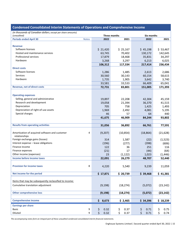| (unaudited)<br>Three months<br>Six months<br><b>Periods ended April 30</b><br><b>Notes</b><br>2022<br>2021<br>2022<br>2021<br><b>Revenue</b><br>Software licenses<br>\$21,420<br>\$25,167<br>\$45,198<br>\$53,467<br>Hosted and maintenance services<br>142,645<br>63,745<br>70,402<br>130,172<br>Professional services<br>34,297<br>17,879<br>18,468<br>35,831<br>6,025<br>Hardware<br>3,268<br>6,213<br>3,297<br>106,312<br>117,334<br>217,414<br>236,434<br><b>Direct costs</b><br>Software licenses<br>1,485<br>2,613<br>2,686<br>1,286<br><b>Services</b><br>30,560<br>30,143<br>60,154<br>58,615<br>Hardware<br>1,735<br>1,905<br>3,642<br>3,740<br>33,533<br>66,409<br>65,041<br>33,581<br><b>Revenue, net of direct costs</b><br>83,801<br>72,731<br>151,005<br>171,393<br><b>Operating expenses</b><br>Selling, general and administrative<br>19,897<br>22,208<br>45,159<br>42,304<br>Research and development<br>19,058<br>21,394<br>36,370<br>41,515<br>758<br>Depreciation<br>705<br>1,425<br>1,493<br>Depreciation of right-of-use assets<br>2,492<br>4,081<br>5,195<br>1,969<br>Special charges<br>46<br>57<br>64<br>440<br>46,909<br>93,802<br>41,675<br>84,244<br><b>Results from operating activities</b><br>36,892<br>77,591<br>31,056<br>66,761<br>Amortization of acquired software and customer<br>(21, 628)<br>4<br>(9,207)<br>(10, 854)<br>(18, 864)<br>relationships<br>Foreign exchange gains (losses)<br>(1, 523)<br>314<br>1,587<br>(22)<br>Interest expense - lease obligations<br>(196)<br>(398)<br>(277)<br>(606)<br>Finance income<br>122<br>36<br>251<br>116<br>Finance expenses<br>(21)<br>17<br>(44)<br>(64)<br>Other income (expenses)<br>23<br>(1, 122)<br>1,023<br>(1, 446)<br>Income before income taxes<br>22,091<br>26,279<br>52,440<br>48,707<br>8<br><b>Provision for income taxes</b><br>11,059<br>4,220<br>5,540<br>9,239<br>Net income for the period<br>\$20,739<br>\$17,871<br>\$39,468<br>\$41,381<br>Items that may be subsequently reclassified to income:<br>Cumulative translation adjustment<br>(9, 198)<br>(18, 274)<br>(5,072)<br>(23, 142)<br><b>Other comprehensive loss</b><br>(18, 274)<br>(5,072)<br>(23, 142)<br>(9, 198)<br><b>Comprehensive income</b><br>\$<br>8,673<br>\$18,239<br>\$2,465<br>\$34,396<br><b>Earnings per share</b><br><b>Basic</b><br>9<br>\$<br>\$<br>0.37<br>\$<br>0.75<br>0.32<br>\$<br>0.71 | (in thousands of Canadian dollars, except per share amounts) |            |            |            |            |
|-----------------------------------------------------------------------------------------------------------------------------------------------------------------------------------------------------------------------------------------------------------------------------------------------------------------------------------------------------------------------------------------------------------------------------------------------------------------------------------------------------------------------------------------------------------------------------------------------------------------------------------------------------------------------------------------------------------------------------------------------------------------------------------------------------------------------------------------------------------------------------------------------------------------------------------------------------------------------------------------------------------------------------------------------------------------------------------------------------------------------------------------------------------------------------------------------------------------------------------------------------------------------------------------------------------------------------------------------------------------------------------------------------------------------------------------------------------------------------------------------------------------------------------------------------------------------------------------------------------------------------------------------------------------------------------------------------------------------------------------------------------------------------------------------------------------------------------------------------------------------------------------------------------------------------------------------------------------------------------------------------------------------------------------------------------------------------------------------------------------------------------------------------------------------------------------------------------------------------------------------------------------------------------------------------------------------------------------------------------------------------------|--------------------------------------------------------------|------------|------------|------------|------------|
|                                                                                                                                                                                                                                                                                                                                                                                                                                                                                                                                                                                                                                                                                                                                                                                                                                                                                                                                                                                                                                                                                                                                                                                                                                                                                                                                                                                                                                                                                                                                                                                                                                                                                                                                                                                                                                                                                                                                                                                                                                                                                                                                                                                                                                                                                                                                                                                   |                                                              |            |            |            |            |
|                                                                                                                                                                                                                                                                                                                                                                                                                                                                                                                                                                                                                                                                                                                                                                                                                                                                                                                                                                                                                                                                                                                                                                                                                                                                                                                                                                                                                                                                                                                                                                                                                                                                                                                                                                                                                                                                                                                                                                                                                                                                                                                                                                                                                                                                                                                                                                                   |                                                              |            |            |            |            |
|                                                                                                                                                                                                                                                                                                                                                                                                                                                                                                                                                                                                                                                                                                                                                                                                                                                                                                                                                                                                                                                                                                                                                                                                                                                                                                                                                                                                                                                                                                                                                                                                                                                                                                                                                                                                                                                                                                                                                                                                                                                                                                                                                                                                                                                                                                                                                                                   |                                                              |            |            |            |            |
|                                                                                                                                                                                                                                                                                                                                                                                                                                                                                                                                                                                                                                                                                                                                                                                                                                                                                                                                                                                                                                                                                                                                                                                                                                                                                                                                                                                                                                                                                                                                                                                                                                                                                                                                                                                                                                                                                                                                                                                                                                                                                                                                                                                                                                                                                                                                                                                   |                                                              |            |            |            |            |
|                                                                                                                                                                                                                                                                                                                                                                                                                                                                                                                                                                                                                                                                                                                                                                                                                                                                                                                                                                                                                                                                                                                                                                                                                                                                                                                                                                                                                                                                                                                                                                                                                                                                                                                                                                                                                                                                                                                                                                                                                                                                                                                                                                                                                                                                                                                                                                                   |                                                              |            |            |            |            |
|                                                                                                                                                                                                                                                                                                                                                                                                                                                                                                                                                                                                                                                                                                                                                                                                                                                                                                                                                                                                                                                                                                                                                                                                                                                                                                                                                                                                                                                                                                                                                                                                                                                                                                                                                                                                                                                                                                                                                                                                                                                                                                                                                                                                                                                                                                                                                                                   |                                                              |            |            |            |            |
|                                                                                                                                                                                                                                                                                                                                                                                                                                                                                                                                                                                                                                                                                                                                                                                                                                                                                                                                                                                                                                                                                                                                                                                                                                                                                                                                                                                                                                                                                                                                                                                                                                                                                                                                                                                                                                                                                                                                                                                                                                                                                                                                                                                                                                                                                                                                                                                   |                                                              |            |            |            |            |
|                                                                                                                                                                                                                                                                                                                                                                                                                                                                                                                                                                                                                                                                                                                                                                                                                                                                                                                                                                                                                                                                                                                                                                                                                                                                                                                                                                                                                                                                                                                                                                                                                                                                                                                                                                                                                                                                                                                                                                                                                                                                                                                                                                                                                                                                                                                                                                                   |                                                              |            |            |            |            |
|                                                                                                                                                                                                                                                                                                                                                                                                                                                                                                                                                                                                                                                                                                                                                                                                                                                                                                                                                                                                                                                                                                                                                                                                                                                                                                                                                                                                                                                                                                                                                                                                                                                                                                                                                                                                                                                                                                                                                                                                                                                                                                                                                                                                                                                                                                                                                                                   |                                                              |            |            |            |            |
|                                                                                                                                                                                                                                                                                                                                                                                                                                                                                                                                                                                                                                                                                                                                                                                                                                                                                                                                                                                                                                                                                                                                                                                                                                                                                                                                                                                                                                                                                                                                                                                                                                                                                                                                                                                                                                                                                                                                                                                                                                                                                                                                                                                                                                                                                                                                                                                   |                                                              |            |            |            |            |
|                                                                                                                                                                                                                                                                                                                                                                                                                                                                                                                                                                                                                                                                                                                                                                                                                                                                                                                                                                                                                                                                                                                                                                                                                                                                                                                                                                                                                                                                                                                                                                                                                                                                                                                                                                                                                                                                                                                                                                                                                                                                                                                                                                                                                                                                                                                                                                                   |                                                              |            |            |            |            |
|                                                                                                                                                                                                                                                                                                                                                                                                                                                                                                                                                                                                                                                                                                                                                                                                                                                                                                                                                                                                                                                                                                                                                                                                                                                                                                                                                                                                                                                                                                                                                                                                                                                                                                                                                                                                                                                                                                                                                                                                                                                                                                                                                                                                                                                                                                                                                                                   |                                                              |            |            |            |            |
|                                                                                                                                                                                                                                                                                                                                                                                                                                                                                                                                                                                                                                                                                                                                                                                                                                                                                                                                                                                                                                                                                                                                                                                                                                                                                                                                                                                                                                                                                                                                                                                                                                                                                                                                                                                                                                                                                                                                                                                                                                                                                                                                                                                                                                                                                                                                                                                   |                                                              |            |            |            |            |
|                                                                                                                                                                                                                                                                                                                                                                                                                                                                                                                                                                                                                                                                                                                                                                                                                                                                                                                                                                                                                                                                                                                                                                                                                                                                                                                                                                                                                                                                                                                                                                                                                                                                                                                                                                                                                                                                                                                                                                                                                                                                                                                                                                                                                                                                                                                                                                                   |                                                              |            |            |            |            |
|                                                                                                                                                                                                                                                                                                                                                                                                                                                                                                                                                                                                                                                                                                                                                                                                                                                                                                                                                                                                                                                                                                                                                                                                                                                                                                                                                                                                                                                                                                                                                                                                                                                                                                                                                                                                                                                                                                                                                                                                                                                                                                                                                                                                                                                                                                                                                                                   |                                                              |            |            |            |            |
|                                                                                                                                                                                                                                                                                                                                                                                                                                                                                                                                                                                                                                                                                                                                                                                                                                                                                                                                                                                                                                                                                                                                                                                                                                                                                                                                                                                                                                                                                                                                                                                                                                                                                                                                                                                                                                                                                                                                                                                                                                                                                                                                                                                                                                                                                                                                                                                   |                                                              |            |            |            |            |
|                                                                                                                                                                                                                                                                                                                                                                                                                                                                                                                                                                                                                                                                                                                                                                                                                                                                                                                                                                                                                                                                                                                                                                                                                                                                                                                                                                                                                                                                                                                                                                                                                                                                                                                                                                                                                                                                                                                                                                                                                                                                                                                                                                                                                                                                                                                                                                                   |                                                              |            |            |            |            |
|                                                                                                                                                                                                                                                                                                                                                                                                                                                                                                                                                                                                                                                                                                                                                                                                                                                                                                                                                                                                                                                                                                                                                                                                                                                                                                                                                                                                                                                                                                                                                                                                                                                                                                                                                                                                                                                                                                                                                                                                                                                                                                                                                                                                                                                                                                                                                                                   |                                                              |            |            |            |            |
|                                                                                                                                                                                                                                                                                                                                                                                                                                                                                                                                                                                                                                                                                                                                                                                                                                                                                                                                                                                                                                                                                                                                                                                                                                                                                                                                                                                                                                                                                                                                                                                                                                                                                                                                                                                                                                                                                                                                                                                                                                                                                                                                                                                                                                                                                                                                                                                   |                                                              |            |            |            |            |
|                                                                                                                                                                                                                                                                                                                                                                                                                                                                                                                                                                                                                                                                                                                                                                                                                                                                                                                                                                                                                                                                                                                                                                                                                                                                                                                                                                                                                                                                                                                                                                                                                                                                                                                                                                                                                                                                                                                                                                                                                                                                                                                                                                                                                                                                                                                                                                                   |                                                              |            |            |            |            |
|                                                                                                                                                                                                                                                                                                                                                                                                                                                                                                                                                                                                                                                                                                                                                                                                                                                                                                                                                                                                                                                                                                                                                                                                                                                                                                                                                                                                                                                                                                                                                                                                                                                                                                                                                                                                                                                                                                                                                                                                                                                                                                                                                                                                                                                                                                                                                                                   |                                                              |            |            |            |            |
|                                                                                                                                                                                                                                                                                                                                                                                                                                                                                                                                                                                                                                                                                                                                                                                                                                                                                                                                                                                                                                                                                                                                                                                                                                                                                                                                                                                                                                                                                                                                                                                                                                                                                                                                                                                                                                                                                                                                                                                                                                                                                                                                                                                                                                                                                                                                                                                   |                                                              |            |            |            |            |
|                                                                                                                                                                                                                                                                                                                                                                                                                                                                                                                                                                                                                                                                                                                                                                                                                                                                                                                                                                                                                                                                                                                                                                                                                                                                                                                                                                                                                                                                                                                                                                                                                                                                                                                                                                                                                                                                                                                                                                                                                                                                                                                                                                                                                                                                                                                                                                                   |                                                              |            |            |            |            |
|                                                                                                                                                                                                                                                                                                                                                                                                                                                                                                                                                                                                                                                                                                                                                                                                                                                                                                                                                                                                                                                                                                                                                                                                                                                                                                                                                                                                                                                                                                                                                                                                                                                                                                                                                                                                                                                                                                                                                                                                                                                                                                                                                                                                                                                                                                                                                                                   |                                                              |            |            |            |            |
|                                                                                                                                                                                                                                                                                                                                                                                                                                                                                                                                                                                                                                                                                                                                                                                                                                                                                                                                                                                                                                                                                                                                                                                                                                                                                                                                                                                                                                                                                                                                                                                                                                                                                                                                                                                                                                                                                                                                                                                                                                                                                                                                                                                                                                                                                                                                                                                   |                                                              |            |            |            |            |
|                                                                                                                                                                                                                                                                                                                                                                                                                                                                                                                                                                                                                                                                                                                                                                                                                                                                                                                                                                                                                                                                                                                                                                                                                                                                                                                                                                                                                                                                                                                                                                                                                                                                                                                                                                                                                                                                                                                                                                                                                                                                                                                                                                                                                                                                                                                                                                                   |                                                              |            |            |            |            |
|                                                                                                                                                                                                                                                                                                                                                                                                                                                                                                                                                                                                                                                                                                                                                                                                                                                                                                                                                                                                                                                                                                                                                                                                                                                                                                                                                                                                                                                                                                                                                                                                                                                                                                                                                                                                                                                                                                                                                                                                                                                                                                                                                                                                                                                                                                                                                                                   |                                                              |            |            |            |            |
|                                                                                                                                                                                                                                                                                                                                                                                                                                                                                                                                                                                                                                                                                                                                                                                                                                                                                                                                                                                                                                                                                                                                                                                                                                                                                                                                                                                                                                                                                                                                                                                                                                                                                                                                                                                                                                                                                                                                                                                                                                                                                                                                                                                                                                                                                                                                                                                   |                                                              |            |            |            |            |
|                                                                                                                                                                                                                                                                                                                                                                                                                                                                                                                                                                                                                                                                                                                                                                                                                                                                                                                                                                                                                                                                                                                                                                                                                                                                                                                                                                                                                                                                                                                                                                                                                                                                                                                                                                                                                                                                                                                                                                                                                                                                                                                                                                                                                                                                                                                                                                                   |                                                              |            |            |            |            |
|                                                                                                                                                                                                                                                                                                                                                                                                                                                                                                                                                                                                                                                                                                                                                                                                                                                                                                                                                                                                                                                                                                                                                                                                                                                                                                                                                                                                                                                                                                                                                                                                                                                                                                                                                                                                                                                                                                                                                                                                                                                                                                                                                                                                                                                                                                                                                                                   |                                                              |            |            |            |            |
|                                                                                                                                                                                                                                                                                                                                                                                                                                                                                                                                                                                                                                                                                                                                                                                                                                                                                                                                                                                                                                                                                                                                                                                                                                                                                                                                                                                                                                                                                                                                                                                                                                                                                                                                                                                                                                                                                                                                                                                                                                                                                                                                                                                                                                                                                                                                                                                   |                                                              |            |            |            |            |
|                                                                                                                                                                                                                                                                                                                                                                                                                                                                                                                                                                                                                                                                                                                                                                                                                                                                                                                                                                                                                                                                                                                                                                                                                                                                                                                                                                                                                                                                                                                                                                                                                                                                                                                                                                                                                                                                                                                                                                                                                                                                                                                                                                                                                                                                                                                                                                                   |                                                              |            |            |            |            |
|                                                                                                                                                                                                                                                                                                                                                                                                                                                                                                                                                                                                                                                                                                                                                                                                                                                                                                                                                                                                                                                                                                                                                                                                                                                                                                                                                                                                                                                                                                                                                                                                                                                                                                                                                                                                                                                                                                                                                                                                                                                                                                                                                                                                                                                                                                                                                                                   |                                                              |            |            |            |            |
|                                                                                                                                                                                                                                                                                                                                                                                                                                                                                                                                                                                                                                                                                                                                                                                                                                                                                                                                                                                                                                                                                                                                                                                                                                                                                                                                                                                                                                                                                                                                                                                                                                                                                                                                                                                                                                                                                                                                                                                                                                                                                                                                                                                                                                                                                                                                                                                   |                                                              |            |            |            |            |
|                                                                                                                                                                                                                                                                                                                                                                                                                                                                                                                                                                                                                                                                                                                                                                                                                                                                                                                                                                                                                                                                                                                                                                                                                                                                                                                                                                                                                                                                                                                                                                                                                                                                                                                                                                                                                                                                                                                                                                                                                                                                                                                                                                                                                                                                                                                                                                                   |                                                              |            |            |            |            |
|                                                                                                                                                                                                                                                                                                                                                                                                                                                                                                                                                                                                                                                                                                                                                                                                                                                                                                                                                                                                                                                                                                                                                                                                                                                                                                                                                                                                                                                                                                                                                                                                                                                                                                                                                                                                                                                                                                                                                                                                                                                                                                                                                                                                                                                                                                                                                                                   |                                                              |            |            |            |            |
|                                                                                                                                                                                                                                                                                                                                                                                                                                                                                                                                                                                                                                                                                                                                                                                                                                                                                                                                                                                                                                                                                                                                                                                                                                                                                                                                                                                                                                                                                                                                                                                                                                                                                                                                                                                                                                                                                                                                                                                                                                                                                                                                                                                                                                                                                                                                                                                   |                                                              |            |            |            |            |
|                                                                                                                                                                                                                                                                                                                                                                                                                                                                                                                                                                                                                                                                                                                                                                                                                                                                                                                                                                                                                                                                                                                                                                                                                                                                                                                                                                                                                                                                                                                                                                                                                                                                                                                                                                                                                                                                                                                                                                                                                                                                                                                                                                                                                                                                                                                                                                                   |                                                              |            |            |            |            |
|                                                                                                                                                                                                                                                                                                                                                                                                                                                                                                                                                                                                                                                                                                                                                                                                                                                                                                                                                                                                                                                                                                                                                                                                                                                                                                                                                                                                                                                                                                                                                                                                                                                                                                                                                                                                                                                                                                                                                                                                                                                                                                                                                                                                                                                                                                                                                                                   |                                                              |            |            |            |            |
|                                                                                                                                                                                                                                                                                                                                                                                                                                                                                                                                                                                                                                                                                                                                                                                                                                                                                                                                                                                                                                                                                                                                                                                                                                                                                                                                                                                                                                                                                                                                                                                                                                                                                                                                                                                                                                                                                                                                                                                                                                                                                                                                                                                                                                                                                                                                                                                   |                                                              |            |            |            |            |
|                                                                                                                                                                                                                                                                                                                                                                                                                                                                                                                                                                                                                                                                                                                                                                                                                                                                                                                                                                                                                                                                                                                                                                                                                                                                                                                                                                                                                                                                                                                                                                                                                                                                                                                                                                                                                                                                                                                                                                                                                                                                                                                                                                                                                                                                                                                                                                                   |                                                              |            |            |            |            |
|                                                                                                                                                                                                                                                                                                                                                                                                                                                                                                                                                                                                                                                                                                                                                                                                                                                                                                                                                                                                                                                                                                                                                                                                                                                                                                                                                                                                                                                                                                                                                                                                                                                                                                                                                                                                                                                                                                                                                                                                                                                                                                                                                                                                                                                                                                                                                                                   |                                                              |            |            |            |            |
|                                                                                                                                                                                                                                                                                                                                                                                                                                                                                                                                                                                                                                                                                                                                                                                                                                                                                                                                                                                                                                                                                                                                                                                                                                                                                                                                                                                                                                                                                                                                                                                                                                                                                                                                                                                                                                                                                                                                                                                                                                                                                                                                                                                                                                                                                                                                                                                   |                                                              |            |            |            |            |
|                                                                                                                                                                                                                                                                                                                                                                                                                                                                                                                                                                                                                                                                                                                                                                                                                                                                                                                                                                                                                                                                                                                                                                                                                                                                                                                                                                                                                                                                                                                                                                                                                                                                                                                                                                                                                                                                                                                                                                                                                                                                                                                                                                                                                                                                                                                                                                                   |                                                              |            |            |            |            |
|                                                                                                                                                                                                                                                                                                                                                                                                                                                                                                                                                                                                                                                                                                                                                                                                                                                                                                                                                                                                                                                                                                                                                                                                                                                                                                                                                                                                                                                                                                                                                                                                                                                                                                                                                                                                                                                                                                                                                                                                                                                                                                                                                                                                                                                                                                                                                                                   |                                                              |            |            |            |            |
|                                                                                                                                                                                                                                                                                                                                                                                                                                                                                                                                                                                                                                                                                                                                                                                                                                                                                                                                                                                                                                                                                                                                                                                                                                                                                                                                                                                                                                                                                                                                                                                                                                                                                                                                                                                                                                                                                                                                                                                                                                                                                                                                                                                                                                                                                                                                                                                   |                                                              |            |            |            |            |
|                                                                                                                                                                                                                                                                                                                                                                                                                                                                                                                                                                                                                                                                                                                                                                                                                                                                                                                                                                                                                                                                                                                                                                                                                                                                                                                                                                                                                                                                                                                                                                                                                                                                                                                                                                                                                                                                                                                                                                                                                                                                                                                                                                                                                                                                                                                                                                                   |                                                              |            |            |            |            |
| 9                                                                                                                                                                                                                                                                                                                                                                                                                                                                                                                                                                                                                                                                                                                                                                                                                                                                                                                                                                                                                                                                                                                                                                                                                                                                                                                                                                                                                                                                                                                                                                                                                                                                                                                                                                                                                                                                                                                                                                                                                                                                                                                                                                                                                                                                                                                                                                                 | Diluted                                                      | \$<br>0.32 | \$<br>0.37 | \$<br>0.71 | \$<br>0.74 |

# **Condensed Consolidated Interim Statements of Operations and Comprehensive Income**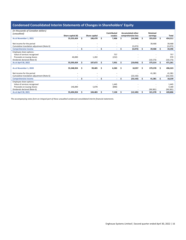# **Condensed Consolidated Interim Statements of Changes in Shareholders' Equity**

| (in thousands of Canadian dollars)         |                          |    |               |     |             |   |                          |    |           |    |           |
|--------------------------------------------|--------------------------|----|---------------|-----|-------------|---|--------------------------|----|-----------|----|-----------|
| (unaudited)                                |                          |    |               |     | Contributed |   | <b>Accumulated other</b> |    | Retained  |    |           |
|                                            | Share capital (#)        |    | Share capital |     | surplus     |   | comprehensive loss       |    | earnings  |    | Total     |
| As at November 1, 2021                     | 55,553,424               | \$ | 106,470       | \$. | 7,406       |   | (14, 584)                | Ś. | 355,019   | \$ | 454,311   |
|                                            |                          |    |               |     |             |   |                          |    |           |    |           |
| Net income for the period                  |                          |    |               |     |             |   |                          |    | 39,468    |    | 39,468    |
| Cumulative translation adjustment (Note 6) |                          |    |               |     |             |   | (5,072)                  |    |           |    | (5,072)   |
| <b>Comprehensive income</b>                | $\overline{\phantom{0}}$ |    |               | Ś   |             |   | (5,072)                  |    | 39,468    |    | 34,396    |
| Employee share options:                    |                          |    |               |     |             |   |                          |    |           |    |           |
| Value of services recognized               |                          |    |               |     | 757         |   |                          |    |           |    | 757       |
| Proceeds on issuing shares                 | 40,000                   |    | 1,202         |     | (232)       |   |                          |    |           |    | 970       |
| Dividends declared (Note 6)                |                          |    |               |     |             |   |                          |    | (19, 173) |    | (19, 173) |
| As at April 30, 2022                       | 55,593,424               |    | 107,672       |     | 7,931       |   | (19, 656)                |    | 375,314   |    | 471,261   |
|                                            |                          |    |               |     |             |   |                          |    |           |    |           |
| As at November 1, 2020                     | 55,348,924               | Ŝ  | 99,405        | \$. | 6,583       | S | 10,957                   | Ś  | 379,378   | Ś. | 496,323   |
|                                            |                          |    |               |     |             |   |                          |    |           |    |           |
| Net income for the period                  |                          |    |               |     |             |   |                          |    | 41,381    |    | 41,381    |
| Cumulative translation adjustment (Note 6) |                          |    |               |     |             |   | (23, 142)                |    |           |    | (23, 142) |
| <b>Comprehensive income</b>                |                          |    |               |     |             |   | (23, 142)                |    | 41,381    |    | 18,239    |
| Employee share options:                    |                          |    |               |     |             |   |                          |    |           |    |           |
| Value of services recognized               |                          |    |               |     | 1,445       |   |                          |    |           |    | 1,445     |
| Proceeds on issuing shares                 | 146,000                  |    | 5,078         |     | (898)       |   |                          |    |           |    | 4,180     |
| Dividends declared (Note 6)                |                          |    |               |     |             |   |                          |    | (99, 381) |    | (99, 381) |
| As at April 30, 2021                       | 55,494,924               |    | 104,483       |     | 7,130       |   | (12,185)                 |    | 321,378   |    | 420,806   |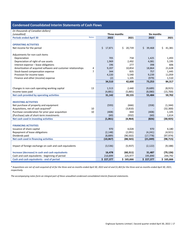# **Condensed Consolidated Interim Statements of Cash Flows**

| (unaudited)<br>Three months<br>Six months<br><b>Notes</b><br><b>Periods ended April 30</b><br>2022<br>2021<br>2022<br>2021<br><b>OPERATING ACTIVITIES</b><br>\$<br>17,871<br>\$.<br>20,739<br>\$.<br>39,468<br>\$<br>41,381<br>Net income for the period<br>Adjustments for non-cash items<br>705<br>758<br>Depreciation<br>1,425<br>1,493<br>Depreciation of right-of-use assets<br>1,969<br>2,492<br>4,081<br>5,195<br>196<br>398<br>Interest expense - lease obligations<br>277<br>606<br>Amortization of acquired software and customer relationships<br>9,207<br>10,854<br>18,864<br>21,628<br>4<br>$\overline{7}$<br>Stock-based compensation expense<br>344<br>835<br>757<br>1,445<br>Provision for income taxes<br>9,239<br>4,220<br>5,540<br>11,059<br>(979)<br>Finance and other (income) expense<br>(2)<br>1,105<br>1,510<br>42,600<br>84,317<br>34,510<br>73,253<br>13<br>(8, 915)<br>Changes in non-cash operating working capital<br>1,513<br>2,440<br>(9,689)<br>Income taxes paid<br>(4,881)<br>(5,885)<br>(8,080)<br>(15,700)<br>Net cash provided by operating activities<br>39,155<br>59,702<br>31,142<br>55,484<br><b>INVESTING ACTIVITIES</b><br>Net purchase of property and equipment<br>(593)<br>(666)<br>(1, 344)<br>(358)<br>(32, 300)<br>Acquisitions, net of cash acquired*<br>10<br>(3,810)<br>Purchase consideration for prior-year acquisition<br>10<br>(408)<br>444<br>(408)<br>1,105<br>(Purchase) sale of short-term investments<br>(60)<br>(932)<br>(60)<br>1,614<br>Net cash used in investing activities<br>(1,061)<br>(4, 964)<br>(30, 925)<br>(826)<br><b>FINANCING ACTIVITIES</b><br>Issuance of share capital<br>970<br>4,028<br>970<br>4,180<br>(4, 921)<br>Repayment of lease obligations<br>(2, 148)<br>(2,091)<br>(4, 241)<br>Dividends paid<br>(8,889)<br>(90, 502)<br>(17, 778)<br>(97, 974)<br>Net cash used in financing activities<br>(10,067)<br>(88, 565)<br>(21,049)<br>(98, 715)<br>Impact of foreign exchange on cash and cash equivalents<br>(5,937)<br>(3,536)<br>(2, 122)<br>(9, 188)<br>Increase (decrease) in cash and cash equivalents<br>(60, 311)<br>(79, 126)<br>16,478<br>31,487<br>Cash and cash equivalents - beginning of period<br>210,899<br>225,977<br>244,792<br>195,890<br>Cash and cash equivalents - end of period<br>\$227,377<br>\$165,666<br>\$227,377<br>\$165,666 | (in thousands of Canadian dollars) |  |  |
|---------------------------------------------------------------------------------------------------------------------------------------------------------------------------------------------------------------------------------------------------------------------------------------------------------------------------------------------------------------------------------------------------------------------------------------------------------------------------------------------------------------------------------------------------------------------------------------------------------------------------------------------------------------------------------------------------------------------------------------------------------------------------------------------------------------------------------------------------------------------------------------------------------------------------------------------------------------------------------------------------------------------------------------------------------------------------------------------------------------------------------------------------------------------------------------------------------------------------------------------------------------------------------------------------------------------------------------------------------------------------------------------------------------------------------------------------------------------------------------------------------------------------------------------------------------------------------------------------------------------------------------------------------------------------------------------------------------------------------------------------------------------------------------------------------------------------------------------------------------------------------------------------------------------------------------------------------------------------------------------------------------------------------------------------------------------------------------------------------------------------------------------------------------------------------------------------------------------------------------------------------------------------------------------------------------------------------------------------|------------------------------------|--|--|
|                                                                                                                                                                                                                                                                                                                                                                                                                                                                                                                                                                                                                                                                                                                                                                                                                                                                                                                                                                                                                                                                                                                                                                                                                                                                                                                                                                                                                                                                                                                                                                                                                                                                                                                                                                                                                                                                                                                                                                                                                                                                                                                                                                                                                                                                                                                                                   |                                    |  |  |
|                                                                                                                                                                                                                                                                                                                                                                                                                                                                                                                                                                                                                                                                                                                                                                                                                                                                                                                                                                                                                                                                                                                                                                                                                                                                                                                                                                                                                                                                                                                                                                                                                                                                                                                                                                                                                                                                                                                                                                                                                                                                                                                                                                                                                                                                                                                                                   |                                    |  |  |
|                                                                                                                                                                                                                                                                                                                                                                                                                                                                                                                                                                                                                                                                                                                                                                                                                                                                                                                                                                                                                                                                                                                                                                                                                                                                                                                                                                                                                                                                                                                                                                                                                                                                                                                                                                                                                                                                                                                                                                                                                                                                                                                                                                                                                                                                                                                                                   |                                    |  |  |
|                                                                                                                                                                                                                                                                                                                                                                                                                                                                                                                                                                                                                                                                                                                                                                                                                                                                                                                                                                                                                                                                                                                                                                                                                                                                                                                                                                                                                                                                                                                                                                                                                                                                                                                                                                                                                                                                                                                                                                                                                                                                                                                                                                                                                                                                                                                                                   |                                    |  |  |
|                                                                                                                                                                                                                                                                                                                                                                                                                                                                                                                                                                                                                                                                                                                                                                                                                                                                                                                                                                                                                                                                                                                                                                                                                                                                                                                                                                                                                                                                                                                                                                                                                                                                                                                                                                                                                                                                                                                                                                                                                                                                                                                                                                                                                                                                                                                                                   |                                    |  |  |
|                                                                                                                                                                                                                                                                                                                                                                                                                                                                                                                                                                                                                                                                                                                                                                                                                                                                                                                                                                                                                                                                                                                                                                                                                                                                                                                                                                                                                                                                                                                                                                                                                                                                                                                                                                                                                                                                                                                                                                                                                                                                                                                                                                                                                                                                                                                                                   |                                    |  |  |
|                                                                                                                                                                                                                                                                                                                                                                                                                                                                                                                                                                                                                                                                                                                                                                                                                                                                                                                                                                                                                                                                                                                                                                                                                                                                                                                                                                                                                                                                                                                                                                                                                                                                                                                                                                                                                                                                                                                                                                                                                                                                                                                                                                                                                                                                                                                                                   |                                    |  |  |
|                                                                                                                                                                                                                                                                                                                                                                                                                                                                                                                                                                                                                                                                                                                                                                                                                                                                                                                                                                                                                                                                                                                                                                                                                                                                                                                                                                                                                                                                                                                                                                                                                                                                                                                                                                                                                                                                                                                                                                                                                                                                                                                                                                                                                                                                                                                                                   |                                    |  |  |
|                                                                                                                                                                                                                                                                                                                                                                                                                                                                                                                                                                                                                                                                                                                                                                                                                                                                                                                                                                                                                                                                                                                                                                                                                                                                                                                                                                                                                                                                                                                                                                                                                                                                                                                                                                                                                                                                                                                                                                                                                                                                                                                                                                                                                                                                                                                                                   |                                    |  |  |
|                                                                                                                                                                                                                                                                                                                                                                                                                                                                                                                                                                                                                                                                                                                                                                                                                                                                                                                                                                                                                                                                                                                                                                                                                                                                                                                                                                                                                                                                                                                                                                                                                                                                                                                                                                                                                                                                                                                                                                                                                                                                                                                                                                                                                                                                                                                                                   |                                    |  |  |
|                                                                                                                                                                                                                                                                                                                                                                                                                                                                                                                                                                                                                                                                                                                                                                                                                                                                                                                                                                                                                                                                                                                                                                                                                                                                                                                                                                                                                                                                                                                                                                                                                                                                                                                                                                                                                                                                                                                                                                                                                                                                                                                                                                                                                                                                                                                                                   |                                    |  |  |
|                                                                                                                                                                                                                                                                                                                                                                                                                                                                                                                                                                                                                                                                                                                                                                                                                                                                                                                                                                                                                                                                                                                                                                                                                                                                                                                                                                                                                                                                                                                                                                                                                                                                                                                                                                                                                                                                                                                                                                                                                                                                                                                                                                                                                                                                                                                                                   |                                    |  |  |
|                                                                                                                                                                                                                                                                                                                                                                                                                                                                                                                                                                                                                                                                                                                                                                                                                                                                                                                                                                                                                                                                                                                                                                                                                                                                                                                                                                                                                                                                                                                                                                                                                                                                                                                                                                                                                                                                                                                                                                                                                                                                                                                                                                                                                                                                                                                                                   |                                    |  |  |
|                                                                                                                                                                                                                                                                                                                                                                                                                                                                                                                                                                                                                                                                                                                                                                                                                                                                                                                                                                                                                                                                                                                                                                                                                                                                                                                                                                                                                                                                                                                                                                                                                                                                                                                                                                                                                                                                                                                                                                                                                                                                                                                                                                                                                                                                                                                                                   |                                    |  |  |
|                                                                                                                                                                                                                                                                                                                                                                                                                                                                                                                                                                                                                                                                                                                                                                                                                                                                                                                                                                                                                                                                                                                                                                                                                                                                                                                                                                                                                                                                                                                                                                                                                                                                                                                                                                                                                                                                                                                                                                                                                                                                                                                                                                                                                                                                                                                                                   |                                    |  |  |
|                                                                                                                                                                                                                                                                                                                                                                                                                                                                                                                                                                                                                                                                                                                                                                                                                                                                                                                                                                                                                                                                                                                                                                                                                                                                                                                                                                                                                                                                                                                                                                                                                                                                                                                                                                                                                                                                                                                                                                                                                                                                                                                                                                                                                                                                                                                                                   |                                    |  |  |
|                                                                                                                                                                                                                                                                                                                                                                                                                                                                                                                                                                                                                                                                                                                                                                                                                                                                                                                                                                                                                                                                                                                                                                                                                                                                                                                                                                                                                                                                                                                                                                                                                                                                                                                                                                                                                                                                                                                                                                                                                                                                                                                                                                                                                                                                                                                                                   |                                    |  |  |
|                                                                                                                                                                                                                                                                                                                                                                                                                                                                                                                                                                                                                                                                                                                                                                                                                                                                                                                                                                                                                                                                                                                                                                                                                                                                                                                                                                                                                                                                                                                                                                                                                                                                                                                                                                                                                                                                                                                                                                                                                                                                                                                                                                                                                                                                                                                                                   |                                    |  |  |
|                                                                                                                                                                                                                                                                                                                                                                                                                                                                                                                                                                                                                                                                                                                                                                                                                                                                                                                                                                                                                                                                                                                                                                                                                                                                                                                                                                                                                                                                                                                                                                                                                                                                                                                                                                                                                                                                                                                                                                                                                                                                                                                                                                                                                                                                                                                                                   |                                    |  |  |
|                                                                                                                                                                                                                                                                                                                                                                                                                                                                                                                                                                                                                                                                                                                                                                                                                                                                                                                                                                                                                                                                                                                                                                                                                                                                                                                                                                                                                                                                                                                                                                                                                                                                                                                                                                                                                                                                                                                                                                                                                                                                                                                                                                                                                                                                                                                                                   |                                    |  |  |
|                                                                                                                                                                                                                                                                                                                                                                                                                                                                                                                                                                                                                                                                                                                                                                                                                                                                                                                                                                                                                                                                                                                                                                                                                                                                                                                                                                                                                                                                                                                                                                                                                                                                                                                                                                                                                                                                                                                                                                                                                                                                                                                                                                                                                                                                                                                                                   |                                    |  |  |
|                                                                                                                                                                                                                                                                                                                                                                                                                                                                                                                                                                                                                                                                                                                                                                                                                                                                                                                                                                                                                                                                                                                                                                                                                                                                                                                                                                                                                                                                                                                                                                                                                                                                                                                                                                                                                                                                                                                                                                                                                                                                                                                                                                                                                                                                                                                                                   |                                    |  |  |
|                                                                                                                                                                                                                                                                                                                                                                                                                                                                                                                                                                                                                                                                                                                                                                                                                                                                                                                                                                                                                                                                                                                                                                                                                                                                                                                                                                                                                                                                                                                                                                                                                                                                                                                                                                                                                                                                                                                                                                                                                                                                                                                                                                                                                                                                                                                                                   |                                    |  |  |
|                                                                                                                                                                                                                                                                                                                                                                                                                                                                                                                                                                                                                                                                                                                                                                                                                                                                                                                                                                                                                                                                                                                                                                                                                                                                                                                                                                                                                                                                                                                                                                                                                                                                                                                                                                                                                                                                                                                                                                                                                                                                                                                                                                                                                                                                                                                                                   |                                    |  |  |
|                                                                                                                                                                                                                                                                                                                                                                                                                                                                                                                                                                                                                                                                                                                                                                                                                                                                                                                                                                                                                                                                                                                                                                                                                                                                                                                                                                                                                                                                                                                                                                                                                                                                                                                                                                                                                                                                                                                                                                                                                                                                                                                                                                                                                                                                                                                                                   |                                    |  |  |
|                                                                                                                                                                                                                                                                                                                                                                                                                                                                                                                                                                                                                                                                                                                                                                                                                                                                                                                                                                                                                                                                                                                                                                                                                                                                                                                                                                                                                                                                                                                                                                                                                                                                                                                                                                                                                                                                                                                                                                                                                                                                                                                                                                                                                                                                                                                                                   |                                    |  |  |
|                                                                                                                                                                                                                                                                                                                                                                                                                                                                                                                                                                                                                                                                                                                                                                                                                                                                                                                                                                                                                                                                                                                                                                                                                                                                                                                                                                                                                                                                                                                                                                                                                                                                                                                                                                                                                                                                                                                                                                                                                                                                                                                                                                                                                                                                                                                                                   |                                    |  |  |
|                                                                                                                                                                                                                                                                                                                                                                                                                                                                                                                                                                                                                                                                                                                                                                                                                                                                                                                                                                                                                                                                                                                                                                                                                                                                                                                                                                                                                                                                                                                                                                                                                                                                                                                                                                                                                                                                                                                                                                                                                                                                                                                                                                                                                                                                                                                                                   |                                    |  |  |
|                                                                                                                                                                                                                                                                                                                                                                                                                                                                                                                                                                                                                                                                                                                                                                                                                                                                                                                                                                                                                                                                                                                                                                                                                                                                                                                                                                                                                                                                                                                                                                                                                                                                                                                                                                                                                                                                                                                                                                                                                                                                                                                                                                                                                                                                                                                                                   |                                    |  |  |
|                                                                                                                                                                                                                                                                                                                                                                                                                                                                                                                                                                                                                                                                                                                                                                                                                                                                                                                                                                                                                                                                                                                                                                                                                                                                                                                                                                                                                                                                                                                                                                                                                                                                                                                                                                                                                                                                                                                                                                                                                                                                                                                                                                                                                                                                                                                                                   |                                    |  |  |
|                                                                                                                                                                                                                                                                                                                                                                                                                                                                                                                                                                                                                                                                                                                                                                                                                                                                                                                                                                                                                                                                                                                                                                                                                                                                                                                                                                                                                                                                                                                                                                                                                                                                                                                                                                                                                                                                                                                                                                                                                                                                                                                                                                                                                                                                                                                                                   |                                    |  |  |
|                                                                                                                                                                                                                                                                                                                                                                                                                                                                                                                                                                                                                                                                                                                                                                                                                                                                                                                                                                                                                                                                                                                                                                                                                                                                                                                                                                                                                                                                                                                                                                                                                                                                                                                                                                                                                                                                                                                                                                                                                                                                                                                                                                                                                                                                                                                                                   |                                    |  |  |
|                                                                                                                                                                                                                                                                                                                                                                                                                                                                                                                                                                                                                                                                                                                                                                                                                                                                                                                                                                                                                                                                                                                                                                                                                                                                                                                                                                                                                                                                                                                                                                                                                                                                                                                                                                                                                                                                                                                                                                                                                                                                                                                                                                                                                                                                                                                                                   |                                    |  |  |
|                                                                                                                                                                                                                                                                                                                                                                                                                                                                                                                                                                                                                                                                                                                                                                                                                                                                                                                                                                                                                                                                                                                                                                                                                                                                                                                                                                                                                                                                                                                                                                                                                                                                                                                                                                                                                                                                                                                                                                                                                                                                                                                                                                                                                                                                                                                                                   |                                    |  |  |
|                                                                                                                                                                                                                                                                                                                                                                                                                                                                                                                                                                                                                                                                                                                                                                                                                                                                                                                                                                                                                                                                                                                                                                                                                                                                                                                                                                                                                                                                                                                                                                                                                                                                                                                                                                                                                                                                                                                                                                                                                                                                                                                                                                                                                                                                                                                                                   |                                    |  |  |
|                                                                                                                                                                                                                                                                                                                                                                                                                                                                                                                                                                                                                                                                                                                                                                                                                                                                                                                                                                                                                                                                                                                                                                                                                                                                                                                                                                                                                                                                                                                                                                                                                                                                                                                                                                                                                                                                                                                                                                                                                                                                                                                                                                                                                                                                                                                                                   |                                    |  |  |
|                                                                                                                                                                                                                                                                                                                                                                                                                                                                                                                                                                                                                                                                                                                                                                                                                                                                                                                                                                                                                                                                                                                                                                                                                                                                                                                                                                                                                                                                                                                                                                                                                                                                                                                                                                                                                                                                                                                                                                                                                                                                                                                                                                                                                                                                                                                                                   |                                    |  |  |
|                                                                                                                                                                                                                                                                                                                                                                                                                                                                                                                                                                                                                                                                                                                                                                                                                                                                                                                                                                                                                                                                                                                                                                                                                                                                                                                                                                                                                                                                                                                                                                                                                                                                                                                                                                                                                                                                                                                                                                                                                                                                                                                                                                                                                                                                                                                                                   |                                    |  |  |

*\* Acquisitions are net of cash acquired of nil for the three and six months ended April 30, 2022 and nil and \$1,463 for the three and six months ended April 30, 2021, respectively.*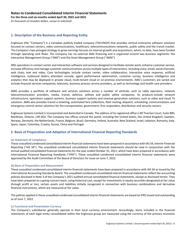**For the three and six months ended April 30, 2022 and 2021**

*(in thousands of Canadian dollars, except as indicated)*

# **1. Description of the Business and Reporting Entity**

Enghouse (the "Company") is a Canadian publicly traded company (TSX:ENGH) that provides vertical enterprise software solutions focused on contact centers, video communications, healthcare, telecommunications networks, public safety and the transit market. The Company's two-pronged strategy to grow earnings focuses on internal growth and acquisitions, which, to date, have been funded through operating cash flows. The Company has no external debt financing and is organized around two business segments: the Interactive Management Group ("IMG") and the Asset Management Group ("AMG").

IMG specializes in contact center and interaction software and services designed to facilitate remote work, enhance customer service, increase efficiency and manage customer communications across multiple types of interactions, including voice, email, social channels, web chats, text and video. Core technologies include contact center, video collaboration, interactive voice response, artificial intelligence, outbound dialers, attendant console, agent performance optimization, customer survey, business intelligence and analytics that may be deployed in private cloud, multi-tenant cloud or on-premise environments. IMG's customers are varied and include financial services companies, telecoms, business process service providers, as well as technology and health care providers.

AMG provides a portfolio of software and services solutions across a number of verticals, such as cable operators, network telecommunication providers, media, transit, defence, utilities and public safety companies. Its products include network infrastructure, operations support systems, business support systems and revenue generation solutions, such as video and cloud TV solutions. AMG also provides transit e-ticketing, automated fare collections, fleet routing, dispatch, scheduling, communications and emergency control center solutions for the transportation, government, first responders, distribution and security sectors.

Enghouse Systems Limited is incorporated and domiciled in Canada. The address of its registered office is 80 Tiverton Court, Suite 800, Markham, Ontario, L3R 0G4. The Company has offices around the world, including the United States, the United Kingdom, Sweden, Norway, Denmark, the Netherlands, France, Belgium, Brazil, Germany, Ireland, Australia, New Zealand, Israel, Lebanon, Romania, Italy, Spain, Japan, Colombia, Croatia, Russia, China and Portugal.

# **2. Basis of Preparation and Adoption of International Financial Reporting Standards**

## (a) Statement of Compliance

These unaudited condensed consolidated interim financial statements have been prepared in accordance with IAS 34, *Interim Financial Reporting* ("IAS 34"). The unaudited condensed consolidated interim financial statements should be read in conjunction with the annual audited consolidated financial statements for the year ended October 31, 2021, which have been prepared in accordance with International Financial Reporting Standards ("IFRS"). These unaudited condensed consolidated interim financial statements were approved by the Audit Committee of the Board of Directors for issue on June 7, 2022.

## (b) Basis of Preparation and Measurement

These unaudited condensed consolidated interim financial statements have been prepared in accordance with IAS 34 as issued by the International Accounting Standards Board. The unaudited condensed consolidated interim financial statements reflect the accounting policies disclosed in Note 3 of the Company's 2021 audited annual consolidated financial statements, except as disclosed herein. They have been prepared on a going-concern basis, using historical cost, except for investments in equity securities designated at fair value through profit or loss, certain assets and liabilities initially recognized in connection with business combinations and derivative financial instruments, which are measured at fair value.

The policies applied in these unaudited condensed consolidated interim financial statements are based on IFRS issued and outstanding as of June 7, 2022.

## (c) Functional and Presentation Currency

The Company's subsidiaries generally operate in their local currency environment. Accordingly, items included in the financial statements of each legal entity consolidated within the Enghouse group are measured using the currency of the primary economic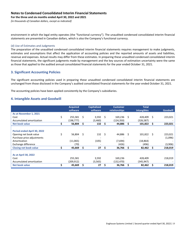**For the three and six months ended April 30, 2022 and 2021** 

*(in thousands of Canadian dollars, except as indicated)* 

environment in which the legal entity operates (the "functional currency"). The unaudited condensed consolidated interim financial statements are presented in Canadian dollars, which is also the Company's functional currency.

## (d) Use of Estimates and Judgments

The preparation of the unaudited condensed consolidated interim financial statements requires management to make judgments, estimates and assumptions that affect the application of accounting policies and the reported amounts of assets and liabilities, revenue and expenses. Actual results may differ from these estimates. In preparing these unaudited condensed consolidated interim financial statements, the significant judgments made by management and the key sources of estimation uncertainty were the same as those that applied to the audited annual consolidated financial statements for the year ended October 31, 2021.

# **3. Significant Accounting Policies**

The significant accounting policies used in preparing these unaudited condensed consolidated interim financial statements are unchanged from those disclosed in the Company's audited consolidated financial statements for the year ended October 31, 2021.

The accounting policies have been applied consistently by the Company's subsidiaries.

## **4. Intangible Assets and Goodwill**

|                               | <b>Acquired</b> |      | <b>Capitalized</b> |     | <b>Customer</b> |    | <b>Total</b>       |    |                 |
|-------------------------------|-----------------|------|--------------------|-----|-----------------|----|--------------------|----|-----------------|
|                               | software        |      | software           |     | relationships   |    | <b>intangibles</b> |    | <b>Goodwill</b> |
| As at November 1, 2021        |                 |      |                    |     |                 |    |                    |    |                 |
| Cost                          | \$<br>255,581   | - S  | 3,592              | - Ś | 169,236         | Ŝ. | 428,409            | Ŝ. | 223,021         |
| Accumulated amortization      | (198,777)       |      | (3,460)            |     | (124,350)       |    | (326, 587)         |    |                 |
| Net book value                | 56,804          | S    | 132                | S   | 44,886          | \$ | 101,822            | \$ | 223,021         |
|                               |                 |      |                    |     |                 |    |                    |    |                 |
| Period ended April 30, 2022   |                 |      |                    |     |                 |    |                    |    |                 |
| Opening net book value        | \$<br>56,804    | - \$ | $132 \quad S$      |     | 44,886          | Ś  | 101,822            | Ŝ. | 223,021         |
| Purchase price adjustments    |                 |      |                    |     |                 |    |                    |    | (1,096)         |
| Amortization                  | (11,065)        |      | (105)              |     | (7,694)         |    | (18, 864)          |    |                 |
| Exchange difference           | (70)            |      |                    |     | (426)           |    | (496)              |    | (3,906)         |
| <b>Closing net book value</b> | 45,669          | - Ś  | 27                 | S   | 36,766          | Ś  | 82,462             | \$ | 218,019         |
|                               |                 |      |                    |     |                 |    |                    |    |                 |
| <b>As at April 30, 2022</b>   |                 |      |                    |     |                 |    |                    |    |                 |
| Cost                          | 255,581         |      | 3,592              |     | 169,236         |    | 428,409            |    | 218,019         |
| Accumulated amortization      | (209,912)       |      | (3,565)            |     | (132,470)       |    | (345, 947)         |    |                 |
| Net book value                | 45,669          | Ŝ    | 27                 |     | 36,766          | \$ | 82,462             |    | 218,019         |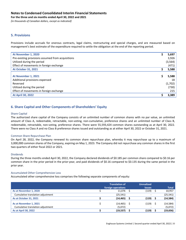**For the three and six months ended April 30, 2022 and 2021** 

*(in thousands of Canadian dollars, except as indicated)* 

# **5. Provisions**

Provisions include accruals for onerous contracts, legal claims, restructuring and special charges, and are measured based on management's best estimate of the expenditure required to settle the obligation at the end of the reporting period.

| At November 1, 2020                               | 5,697    |
|---------------------------------------------------|----------|
| Pre-existing provisions assumed from acquisitions | 3,926    |
| Utilized during the period                        | (3, 564) |
| Effect of movements in foreign exchange           | (471)    |
| <b>At October 31, 2021</b>                        | 5,588    |
|                                                   |          |
| At November 1, 2021                               | 5,588    |
| Additional provisions expensed                    | 18       |
| Reversed                                          | (1,702)  |
| Utilized during the period                        | (730)    |
| Effect of movements in foreign exchange           | 215      |
| <b>At April 30, 2022</b>                          | 3,389    |

# **6. Share Capital and Other Components of Shareholders' Equity**

#### Share Capital

The authorized share capital of the Company consists of an unlimited number of common shares with no par value, an unlimited amount of Class A, redeemable, retractable, non-voting, non-cumulative, preference shares and an unlimited number of Class B, redeemable, retractable, non-voting, preference shares. There were 55,593,424 common shares outstanding as at April 30, 2022. There were no Class A and no Class B preference shares issued and outstanding as at either April 30, 2022 or October 31, 2021.

#### Common Share Repurchase Plan

On April 28, 2022, the Company renewed its common share repurchase plan, whereby it may repurchase up to a maximum of 3,000,000 common shares of the Company, expiring on May 1, 2023. The Company did not repurchase any common shares in the first two quarters of either fiscal 2022 or 2021.

#### Dividends

During the three months ended April 30, 2022, the Company declared dividends of \$0.185 per common share compared to \$0.16 per common share in the prior period in the prior-year, and paid dividends of \$0.16 compared to \$0.135 during the same period in the prior year.

#### Accumulated Other Comprehensive Loss

Accumulated other comprehensive loss comprises the following separate components of equity:

|                                                             | <b>Translation of</b><br>foreign operations | <b>Unrealized</b><br>losses | <b>Total</b>          |
|-------------------------------------------------------------|---------------------------------------------|-----------------------------|-----------------------|
| As at November 1, 2020                                      | 11,076                                      | (119)                       | 10,957                |
| Cumulative translation adjustment                           | (25, 541)                                   |                             | (25, 541)             |
| <b>As at October 31, 2021</b>                               | (14, 465)                                   | (119)                       | (14, 584)             |
| As at November 1, 2021<br>Cumulative translation adjustment | $(14, 465)$ \$<br>(5,072)                   | (119)                       | (14,584)  <br>(5,072) |
| <b>As at April 30, 2022</b>                                 | (19, 537)                                   | (119)                       | (19, 656)             |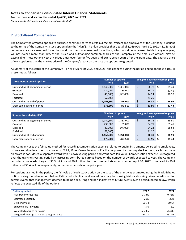**For the three and six months ended April 30, 2022 and 2021** 

*(in thousands of Canadian dollars, except as indicated)* 

# **7. Stock-Based Compensation**

The Company has granted options to purchase common shares to certain directors, officers and employees of the Company, pursuant to the terms of the Company's stock option plan (the "Plan"). The Plan provides that a total of 3,069,900 (April 30, 2021 – 3,168,400) common shares are reserved for options and that the shares reserved for options, which could become exercisable in any one year, will not exceed more than 10% of the issued and outstanding common shares of the Company at the time such options may be exercisable. These options vest at various times over four or five years and expire seven years after the grant date. The exercise price of each option equals the market price of the Company's stock on the date the options are granted.

A summary of the status of the Company's Plan as at April 30, 2022 and 2021, and changes during the period ended on those dates, is presented as follows:

| Three months ended April 30        |           | <b>Number of options</b> | Weighted average exercise price |            |  |       |  |
|------------------------------------|-----------|--------------------------|---------------------------------|------------|--|-------|--|
|                                    | 2022      | 2021                     |                                 | 2022       |  | 2021  |  |
| Outstanding at beginning of period | 1,140,500 | 1,383,000                |                                 | $36.78$ \$ |  | 35.49 |  |
| Granted                            | 430,000   | 35,000                   |                                 | 34.71      |  | 61.41 |  |
| Exercised                          | (40,000)  | (142,000)                |                                 | 24.24      |  | 28.37 |  |
| Forfeited                          | (67,000)  |                          |                                 | 41.20      |  |       |  |
| Outstanding at end of period       | 1,463,500 | 1,276,000                |                                 | 36.31      |  | 36.99 |  |
| Exercisable at end of period       | 678.500   | 473.500                  |                                 | 33.95      |  | 31.43 |  |

| <b>Six months ended April 30</b>   | <b>Number of options</b> |           | Weighted average exercise price |       |  |       |  |
|------------------------------------|--------------------------|-----------|---------------------------------|-------|--|-------|--|
|                                    | 2022                     | 2021      |                                 | 2022  |  | 2021  |  |
| Outstanding at beginning of period | 1,140,500                | 1,387,000 |                                 | 36.78 |  | 35.50 |  |
| Granted                            | 430,000                  | 35,000    |                                 | 34.71 |  | 61.41 |  |
| Exercised                          | (40,000)                 | (146,000) |                                 | 24.24 |  | 28.64 |  |
| Forfeited                          | (67,000)                 |           |                                 | 41.20 |  |       |  |
| Outstanding at end of period       | 1,463,500                | 1,276,000 |                                 | 36.31 |  | 36.99 |  |
| Exercisable at end of period       | 678,500                  | 473.500   |                                 | 33.95 |  | 31.43 |  |

The Company uses the fair value method for recording compensation expense related to equity instruments awarded to employees, officers and directors in accordance with IFRS 2, *Share-Based Payments*. For the purposes of expensing stock options, each tranche in an award is considered a separate award with its own vesting period and grant date fair value. Compensation expense is recognized over the tranche's vesting period by increasing contributed surplus based on the number of awards expected to vest. The Company recorded a non-cash charge of \$0.3 million and \$0.8 million for the three and six months ended April 30, 2022, compared to \$0.8 million and \$1.4 million, respectively, in the same periods in the prior year.

For options granted in the period, the fair value of each stock option on the date of the grant was estimated using the Black-Scholes option pricing model as set out below. Estimated volatility is calculated on a daily basis using historical closing prices, as adjusted for certain events that management deemed to be non-recurring and non-indicative of future events over a period, noted below, which reflects the expected life of the options.

| <b>Options granted</b>                     | 2022    | 2021    |
|--------------------------------------------|---------|---------|
| Risk-free interest rate                    | 1.73%   | 0.73%   |
| <b>Estimated volatility</b>                | 29%     | 29%     |
| Dividend yield                             | \$0.74  | \$0.64  |
| Expected life (in years)                   | 5.0     | 5.0     |
| Weighted average fair value                | \$7.65  | \$14.85 |
| Weighted average share price at grant date | \$34.71 | \$61.41 |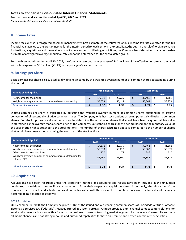**For the three and six months ended April 30, 2022 and 2021** 

*(in thousands of Canadian dollars, except as indicated)* 

# **8. Income Taxes**

Income tax expense is recognized based on management's best estimate of the estimated annual income tax rate expected for the full financial year applied to the pre-tax income for the interim period for each entity in the consolidated group. As a result of foreign exchange fluctuations, acquisitions and the relative mix of income earned in differing jurisdictions, the Company has determined that a reasonable estimate of a weighted average annual tax rate cannot be determined for the consolidated group.

For the three months ended April 30, 2022, the Company recorded a tax expense of \$4.2 million (19.1% effective tax rate) as compared with a tax expense of \$5.5 million (21.1%) in the prior year's second quarter.

## **9. Earnings per Share**

Basic earnings per share is calculated by dividing net income by the weighted average number of common shares outstanding during the period.

| Periods ended April 30                               |  | Three months |  |        | Six months |        |      |        |  |  |
|------------------------------------------------------|--|--------------|--|--------|------------|--------|------|--------|--|--|
|                                                      |  | 2022         |  | 2021   |            | 2022   | 2021 |        |  |  |
| Net income for the period                            |  | 17,871       |  | 20.739 |            | 39,468 |      | 41,381 |  |  |
| Weighted average number of common shares outstanding |  | 55,573       |  | 55,412 |            | 55,562 |      | 55,379 |  |  |
| <b>Basic earnings per share</b>                      |  | 0.32         |  | 0.37   |            | 0.71   |      | 0.75   |  |  |

Diluted earnings per share is calculated by adjusting the weighted average number of common shares outstanding to assume conversion of all potentially dilutive common shares. The Company only has stock options as being potentially dilutive to common shares. For stock options, a calculation is done to determine the number of shares that could have been acquired at fair value (determined as the average market share price of the Company's outstanding shares for the period) based on the monetary value of the subscription rights attached to the stock options. The number of shares calculated above is compared to the number of shares that would have been issued assuming the exercise of the stock options.

| Periods ended April 30                                                  |              | Three months |  |        | Six months |        |      |        |  |  |
|-------------------------------------------------------------------------|--------------|--------------|--|--------|------------|--------|------|--------|--|--|
|                                                                         | 2022<br>2021 |              |  |        |            | 2022   | 2021 |        |  |  |
| Net income for the period                                               |              | 17,871       |  | 20,739 |            | 39,468 |      | 41,381 |  |  |
| Weighted average number of common shares outstanding                    |              | 55,573       |  | 55,412 |            | 55,562 |      | 55,379 |  |  |
| Adjustment for stock options                                            |              | 170          |  | 478    |            | 286    |      | 510    |  |  |
| Weighted average number of common shares outstanding for<br>diluted EPS |              | 55,743       |  | 55,890 |            | 55,848 |      | 55,889 |  |  |
|                                                                         |              |              |  |        |            |        |      |        |  |  |
| <b>Diluted earnings per share</b>                                       |              | 0.32         |  | 0.37   |            | 0.71   |      | 0.74   |  |  |

# **10. Acquisitions**

Acquisitions have been recorded under the acquisition method of accounting and results have been included in the unaudited condensed consolidated interim financial statements from their respective acquisition dates. Accordingly, the allocation of the purchase price to assets and liabilities is based on the fair value, with the excess of the purchase price over the fair value of the assets acquired being allocated to goodwill.

#### 2021 Acquisitions

On December 30, 2020, the Company acquired 100% of the issued and outstanding common shares of Sociedade Altitude Software Sistemas e Serviços S.A. ("Altitude"). Headquartered in Lisbon, Portugal, Altitude provides omni-channel contact center solutions for small and large organizations, with a focus on the business process outsourcing market segment. Its modular software suite supports all media channels and has strong inbound and outbound capabilities for both on-premise and hosted contact center activities.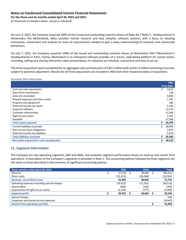**For the three and six months ended April 30, 2022 and 2021** 

*(in thousands of Canadian dollars, except as indicated)* 

On June 3, 2021, the Company acquired 100% of the issued and outstanding common shares of Nebu BV ("Nebu"). Headquartered in Amsterdam, the Netherlands, Nebu provides market research and data analytics software solution, with a focus on allowing enterprises, researchers and analysts to cover all requirements needed to gain a deep understanding of customer and community behaviours.

On July 7, 2021, the Company acquired 100% of the issued and outstanding common shares of Momindum SAS ("Momindum"). Headquartered in Paris, France, Momindum is an enterprise software provider of a secure, SaaS-based platform for virtual events, recording, editing and sharing interactive video presentations. Its solutions are intuitive, economical and easy to set up.

The three acquisitions were completed for an aggregate cash purchase price of \$39.5 million with and €1.9 million remaining in escrow, subject to potential adjustment. Results for all three acquisitions are included in IMG from their respective dates of acquisition.

#### Purchase Price Allocation

|                                            | <b>IMG</b>        |
|--------------------------------------------|-------------------|
|                                            | <b>Final 2021</b> |
| Cash and cash equivalents                  | \$<br>3,613       |
| Short-term investments                     | 130               |
| Accounts receivable                        | 9,900             |
| Prepaid expenses and other assets          | 1,787             |
| Property and equipment                     | 266               |
| Deferred income tax assets                 | 2,166             |
| Acquired software                          | 13,115            |
| Customer relationships                     | 15,368            |
| Right-of-use assets                        | 2,437             |
| Goodwill                                   | 17,188            |
| <b>Total assets acquired</b>               | \$<br>65,970      |
| Current liabilities assumed                | \$<br>18,056      |
| Non-current lease obligations              | 1,875             |
| Deferred income tax liabilities            | 6,529             |
| <b>Total liabilities assumed</b>           | \$<br>26,460      |
| Net assets acquired for cash consideration | \$<br>39,510      |

# **11. Segment Information**

The Company has two operating segments, IMG and AMG, and evaluates segment performance based on revenue and results from operations. A description of the Company's segments is provided in Note 1. The accounting policies followed by these segments are the same as those described in the summary of significant accounting policies.

| Three months ended April 30, 2022            | <b>IMG</b> | <b>AMG</b> | <b>Total</b> |
|----------------------------------------------|------------|------------|--------------|
| Revenue                                      | 57,218     | 49,094     | 106,312      |
| Direct costs                                 | (15, 313)  | (18,268)   | (33,581)     |
| <b>Revenue, net of direct costs</b>          | 41,905     | 30,826     | 72,731       |
| Operating expenses excluding special charges | (19, 412)  | (11, 101)  | (30,513)     |
| Depreciation                                 | (600)      | (105)      | (705)        |
| Depreciation of right-of-use assets          | (1, 192)   | (777)      | (1,969)      |
| Segment profit                               | 20,701     | 18,843     | 39,544       |
| Special charges                              |            |            | (46)         |
| Corporate and shared service expenses        |            |            | (8, 442)     |
| <b>Results from operating activities</b>     |            |            | 31,056       |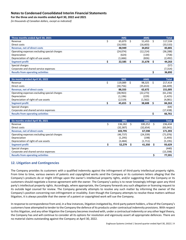**For the three and six months ended April 30, 2022 and 2021** 

*(in thousands of Canadian dollars, except as indicated)* 

| Three months ended April 30, 2021            | <b>IMG</b>    |     | <b>AMG</b> |    | <b>Total</b> |
|----------------------------------------------|---------------|-----|------------|----|--------------|
| Revenue                                      | \$<br>65,879  | \$  | 51,455     | \$ | 117,334      |
| Direct costs                                 | (16,930)      |     | (16, 603)  |    | (33, 533)    |
| <b>Revenue, net of direct costs</b>          | 48,949        |     | 34,852     |    | 83,801       |
| Operating expenses excluding special charges | (24,074)      |     | (12, 214)  |    | (36, 288)    |
| Depreciation                                 | (624)         |     | (134)      |    | (758)        |
| Depreciation of right-of-use assets          | (1,666)       |     | (826)      |    | (2, 492)     |
| <b>Segment profit</b>                        | \$<br>22,585  | \$  | 21,678     | \$ | 44,263       |
| Special charges                              |               |     |            |    | (57)         |
| Corporate and shared service expenses        |               |     |            |    | (7, 314)     |
| <b>Results from operating activities</b>     |               |     |            | \$ | 36,892       |
|                                              |               |     |            |    |              |
| Six months ended April 30, 2022              | <b>IMG</b>    |     | <b>AMG</b> |    | <b>Total</b> |
| Revenue                                      | \$<br>119,089 | -\$ | 98,325     | \$ | 217,414      |
| Direct costs                                 | (30,756)      |     | (35, 653)  |    | (66, 409)    |
| <b>Revenue, net of direct costs</b>          | 88,333        |     | 62,672     |    | 151,005      |
| Operating expenses excluding special charges | (38, 963)     |     | (22, 273)  |    | (61, 236)    |
| Depreciation                                 | (1, 196)      |     | (229)      |    | (1, 425)     |
| Depreciation of right-of-use assets          | (2,519)       |     | (1, 562)   |    | (4,081)      |
| <b>Segment profit</b>                        | \$<br>45,655  | \$  | 38,608     | \$ | 84,263       |
| Special charges                              |               |     |            |    | (64)         |
| Corporate and shared service expenses        |               |     |            |    | (17, 438)    |
| <b>Results from operating activities</b>     |               |     |            | \$ | 66,761       |
|                                              |               |     |            |    |              |
| Six months ended April 30, 2021              | <b>IMG</b>    |     | <b>AMG</b> |    | <b>Total</b> |
| Revenue                                      | \$<br>136,182 | \$  | 100,252    | S. | 236,434      |
| Direct costs                                 | (32, 387)     |     | (32, 654)  |    | (65, 041)    |
| <b>Revenue, net of direct costs</b>          | 103,795       |     | 67,598     |    | 171,393      |
| Operating expenses excluding special charges | (46, 737)     |     | (24, 339)  |    | (71, 076)    |
| Depreciation                                 | (1, 295)      |     | (198)      |    | (1, 493)     |
| Depreciation of right-of-use assets          | (3, 484)      |     | (1,711)    |    | (5, 195)     |
| <b>Segment profit</b>                        | \$<br>52,279  | \$  | 41,350     | \$ | 93,629       |

# **12. Litigation and Contingencies**

The Company provides its customers with a qualified indemnity against the infringement of third-party intellectual property rights. From time to time, various owners of patents and copyrighted works send the Company or its customers letters alleging that the Company's products do or might infringe upon the owner's intellectual property rights, and/or suggesting that the Company or its customers should negotiate a license agreement with the owner. The Company's policy is to never knowingly infringe upon any third party's intellectual property rights. Accordingly, where appropriate, the Company forwards any such allegation or licensing request to its outside legal counsel for review. The Company generally attempts to resolve any such matter by informing the owner of the Company's position concerning non-infringement or invalidity. Even though the Company attempts to resolve these matters without litigation, it is always possible that the owner of a patent or copyrighted work will sue the Company.

Special charges (440) Corporate and shared service expenses (15,598) **Results from operating activities \$ 77,591**

In response to correspondence from and, in a few instances, litigation instigated by, third-party patent holders, a few of the Company's customers have attempted to tender to the Company the defence of its products under contractual indemnity provisions. With respect to this litigation, and any other litigation the Company becomes involved with, under a contractual indemnity or any other legal theory, the Company has and will continue to consider all its options for resolution and vigorously assert all appropriate defences. There are no material claims outstanding against the Company at April 30, 2022.